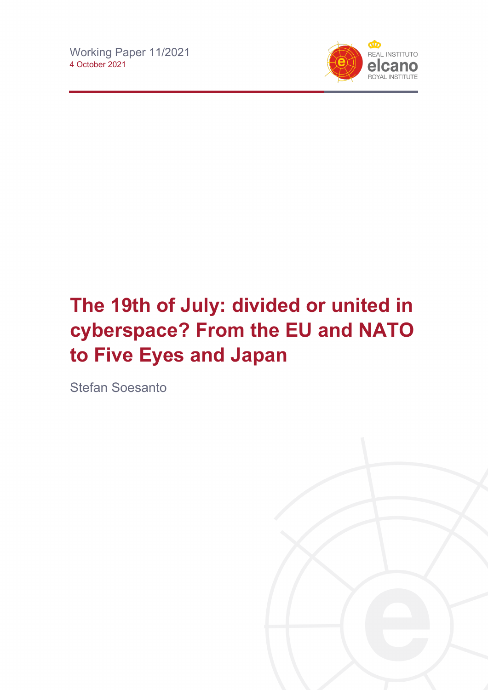

# **The 19th of July: divided or united in cyberspace? From the EU and NATO to Five Eyes and Japan**

Stefan Soesanto

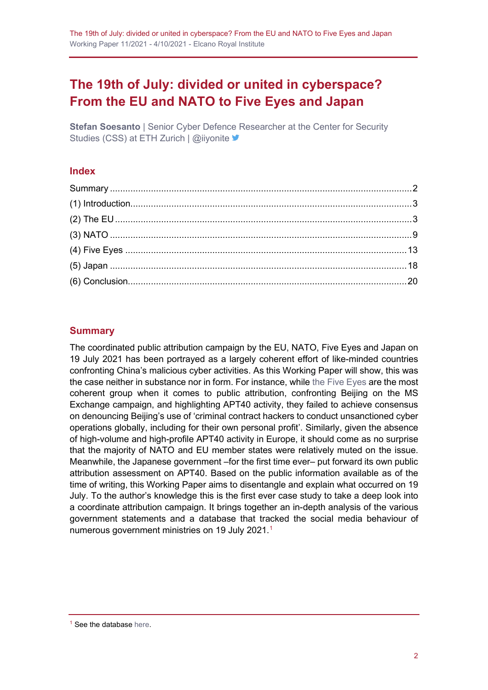# **The 19th of July: divided or united in cyberspace? From the EU and NATO to Five Eyes and Japan**

**Stefan Soesanto** | Senior Cyber Defence Researcher at the Center for Security Studies (CSS) at ETH Zurich | @iiyonite  $\blacktriangleright$ 

#### **Index**

#### <span id="page-1-0"></span>**Summary**

The coordinated public attribution campaign by the EU, NATO, Five Eyes and Japan on 19 July 2021 has been portrayed as a largely coherent effort of like-minded countries confronting China's malicious cyber activities. As this Working Paper will show, this was the case neither in substance nor in form. For instance, while [the Five Eyes](https://blog.realinstitutoelcano.org/hackear-el-pentagono/) are the most coherent group when it comes to public attribution, confronting Beijing on the MS Exchange campaign, and highlighting APT40 activity, they failed to achieve consensus on denouncing Beijing's use of 'criminal contract hackers to conduct unsanctioned cyber operations globally, including for their own personal profit'. Similarly, given the absence of high-volume and high-profile APT40 activity in Europe, it should come as no surprise that the majority of NATO and EU member states were relatively muted on the issue. Meanwhile, the Japanese government –for the first time ever– put forward its own public attribution assessment on APT40. Based on the public information available as of the time of writing, this Working Paper aims to disentangle and explain what occurred on 19 July. To the author's knowledge this is the first ever case study to take a deep look into a coordinate attribution campaign. It brings together an in-depth analysis of the various government statements and a database that tracked the social media behaviour of numerous government ministries on [1](#page-1-1)9 July 2021.<sup>1</sup>

<span id="page-1-1"></span><sup>1</sup> See the database [here.](https://docs.google.com/spreadsheets/d/e/2PACX-1vT79QCetpcm_Vj6DXiKAOyD3UDA17GEyv8q2Mqjw5JN3NnRm1FWE6xUNsF3CacDv7NtS8D41OtOpyAT/pub?output=xlsx)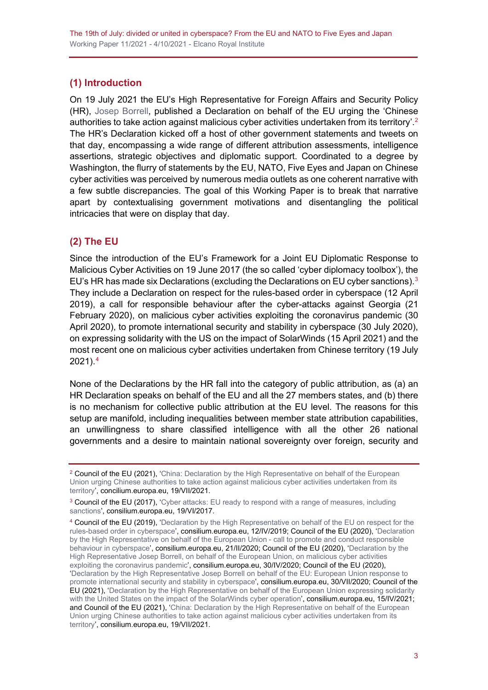### <span id="page-2-0"></span>**(1) Introduction**

On 19 July 2021 the EU's High Representative for Foreign Affairs and Security Policy (HR), [Josep Borrell,](http://www.realinstitutoelcano.org/wps/portal/rielcano_en/contenido?WCM_GLOBAL_CONTEXT=/elcano/elcano_in/zonas_in/queralt-molina-challenges-facing-josep-borrell-next-eu-foreign-policy-interview-joseph-weiler) published a Declaration on behalf of the EU urging the 'Chinese authorities to take action against malicious cyber activities undertaken from its territory'.<sup>[2](#page-2-2)</sup> The HR's Declaration kicked off a host of other government statements and tweets on that day, encompassing a wide range of different attribution assessments, intelligence assertions, strategic objectives and diplomatic support. Coordinated to a degree by Washington, the flurry of statements by the EU, NATO, Five Eyes and Japan on Chinese cyber activities was perceived by numerous media outlets as one coherent narrative with a few subtle discrepancies. The goal of this Working Paper is to break that narrative apart by contextualising government motivations and disentangling the political intricacies that were on display that day.

#### <span id="page-2-1"></span>**(2) The EU**

Since the introduction of the EU's Framework for a Joint EU Diplomatic Response to Malicious Cyber Activities on 19 June 2017 (the so called 'cyber diplomacy toolbox'), the EU's HR has made six Declarations (excluding the Declarations on EU cyber sanctions).<sup>[3](#page-2-3)</sup> They include a Declaration on respect for the rules-based order in cyberspace (12 April 2019), a call for responsible behaviour after the cyber-attacks against Georgia (21 February 2020), on malicious cyber activities exploiting the coronavirus pandemic (30 April 2020), to promote international security and stability in cyberspace (30 July 2020), on expressing solidarity with the US on the impact of SolarWinds (15 April 2021) and the most recent one on malicious cyber activities undertaken from Chinese territory (19 July 2021).[4](#page-2-4)

None of the Declarations by the HR fall into the category of public attribution, as (a) an HR Declaration speaks on behalf of the EU and all the 27 members states, and (b) there is no mechanism for collective public attribution at the EU level. The reasons for this setup are manifold, including inequalities between member state attribution capabilities, an unwillingness to share classified intelligence with all the other 26 national governments and a desire to maintain national sovereignty over foreign, security and

<span id="page-2-2"></span><sup>&</sup>lt;sup>2</sup> Council of the EU (2021), 'China: Declaration by the High Representative on behalf of the European [Union urging Chinese authorities to take action against malicious cyber activities undertaken from its](https://www.consilium.europa.eu/en/press/press-releases/2021/07/19/declaration-by-the-high-representative-on-behalf-of-the-eu-urging-china-to-take-action-against-malicious-cyber-activities-undertaken-from-its-territory/)  [territory',](https://www.consilium.europa.eu/en/press/press-releases/2021/07/19/declaration-by-the-high-representative-on-behalf-of-the-eu-urging-china-to-take-action-against-malicious-cyber-activities-undertaken-from-its-territory/) concilium.europa.eu, 19/VII/2021.

<span id="page-2-3"></span><sup>&</sup>lt;sup>3</sup> Council of the EU (2017), 'Cyber attacks: EU ready to respond with a range of measures, including [sanctions'](https://www.consilium.europa.eu/en/press/press-releases/2017/06/19/cyber-diplomacy-toolbox/), consilium.europa.eu, 19/VI/2017.

<span id="page-2-4"></span><sup>4</sup> Council of the EU (2019), ['Declaration by the High Representative on behalf of the EU on respect for the](https://www.consilium.europa.eu/en/press/press-releases/2019/04/12/declaration-by-the-high-representative-on-behalf-of-the-eu-on-respect-for-the-rules-based-order-in-cyberspace/)  [rules-based order in cyberspace',](https://www.consilium.europa.eu/en/press/press-releases/2019/04/12/declaration-by-the-high-representative-on-behalf-of-the-eu-on-respect-for-the-rules-based-order-in-cyberspace/) consilium.europa.eu, 12/IV/2019; Council of the EU (2020), ['Declaration](https://www.consilium.europa.eu/en/press/press-releases/2020/02/21/declaration-by-the-high-representative-on-behalf-of-the-european-union-call-to-promote-and-conduct-responsible-behaviour-in-cyberspace/)  [by the High Representative on behalf of the European Union -](https://www.consilium.europa.eu/en/press/press-releases/2020/02/21/declaration-by-the-high-representative-on-behalf-of-the-european-union-call-to-promote-and-conduct-responsible-behaviour-in-cyberspace/) call to promote and conduct responsible [behaviour in cyberspace',](https://www.consilium.europa.eu/en/press/press-releases/2020/02/21/declaration-by-the-high-representative-on-behalf-of-the-european-union-call-to-promote-and-conduct-responsible-behaviour-in-cyberspace/) consilium.europa.eu, 21/II/2020; Council of the EU (2020), ['Declaration by the](https://www.consilium.europa.eu/en/press/press-releases/2020/04/30/declaration-by-the-high-representative-josep-borrell-on-behalf-of-the-european-union-on-malicious-cyber-activities-exploiting-the-coronavirus-pandemic/)  High [Representative Josep Borrell, on behalf of the European Union, on malicious cyber activities](https://www.consilium.europa.eu/en/press/press-releases/2020/04/30/declaration-by-the-high-representative-josep-borrell-on-behalf-of-the-european-union-on-malicious-cyber-activities-exploiting-the-coronavirus-pandemic/)  [exploiting the coronavirus pandemic',](https://www.consilium.europa.eu/en/press/press-releases/2020/04/30/declaration-by-the-high-representative-josep-borrell-on-behalf-of-the-european-union-on-malicious-cyber-activities-exploiting-the-coronavirus-pandemic/) consilium.europa.eu, 30/IV/2020; Council of the EU (2020), ['Declaration by the High Representative Josep Borrell on behalf of the EU: European Union response to](https://www.consilium.europa.eu/en/press/press-releases/2020/07/30/declaration-by-the-high-representative-josep-borrell-on-behalf-of-the-eu-european-union-response-to-promote-international-security-and-stability-in-cyberspace/)  [promote international security and stability in cyberspace'](https://www.consilium.europa.eu/en/press/press-releases/2020/07/30/declaration-by-the-high-representative-josep-borrell-on-behalf-of-the-eu-european-union-response-to-promote-international-security-and-stability-in-cyberspace/), consilium.europa.eu, 30/VII/2020; Council of the EU (2021), ['Declaration by the High Representative on behalf of the European Union expressing solidarity](https://www.consilium.europa.eu/en/press/press-releases/2021/04/15/declaration-by-the-high-representative-on-behalf-of-the-european-union-expressing-solidarity-with-the-united-states-on-the-impact-of-the-solarwinds-cyber-operation/)  with the United States on [the impact of the SolarWinds cyber operation'](https://www.consilium.europa.eu/en/press/press-releases/2021/04/15/declaration-by-the-high-representative-on-behalf-of-the-european-union-expressing-solidarity-with-the-united-states-on-the-impact-of-the-solarwinds-cyber-operation/), consilium.europa.eu, 15/IV/2021; and Council of the EU (2021), 'China: Declaration by the High Representative on behalf of the European [Union urging Chinese authorities to take action against malicious cyber activities undertaken from its](https://www.consilium.europa.eu/en/press/press-releases/2021/07/19/declaration-by-the-high-representative-on-behalf-of-the-eu-urging-china-to-take-action-against-malicious-cyber-activities-undertaken-from-its-territory/)  [territory',](https://www.consilium.europa.eu/en/press/press-releases/2021/07/19/declaration-by-the-high-representative-on-behalf-of-the-eu-urging-china-to-take-action-against-malicious-cyber-activities-undertaken-from-its-territory/) consilium.europa.eu, 19/VII/2021.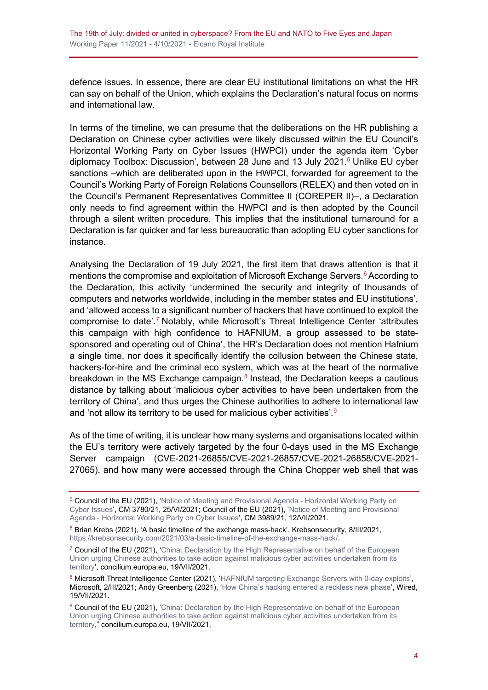defence issues. In essence, there are clear EU institutional limitations on what the HR can say on behalf of the Union, which explains the Declaration's natural focus on norms and international law.

In terms of the timeline, we can presume that the deliberations on the HR publishing a Declaration on Chinese cyber activities were likely discussed within the EU Council's Horizontal Working Party on Cyber Issues (HWPCI) under the agenda item 'Cyber diplomacy Toolbox: Discussion', between 28 June and 13 July 2021.<sup>[5](#page-3-0)</sup> Unlike EU cyber sanctions –which are deliberated upon in the HWPCI, forwarded for agreement to the Council's Working Party of Foreign Relations Counsellors (RELEX) and then voted on in the Council's Permanent Representatives Committee II (COREPER II)–, a Declaration only needs to find agreement within the HWPCI and is then adopted by the Council through a silent written procedure. This implies that the institutional turnaround for a Declaration is far quicker and far less bureaucratic than adopting EU cyber sanctions for instance.

Analysing the Declaration of 19 July 2021, the first item that draws attention is that it mentions the compromise and exploitation of Microsoft Exchange Servers.<sup>[6](#page-3-1)</sup> According to the Declaration, this activity 'undermined the security and integrity of thousands of computers and networks worldwide, including in the member states and EU institutions', and 'allowed access to a significant number of hackers that have continued to exploit the compromise to date'. [7](#page-3-2) Notably, while Microsoft's Threat Intelligence Center 'attributes this campaign with high confidence to HAFNIUM, a group assessed to be statesponsored and operating out of China', the HR's Declaration does not mention Hafnium a single time, nor does it specifically identify the collusion between the Chinese state, hackers-for-hire and the criminal eco system, which was at the heart of the normative breakdown in the MS Exchange campaign. $8$  Instead, the Declaration keeps a cautious distance by talking about 'malicious cyber activities to have been undertaken from the territory of China', and thus urges the Chinese authorities to adhere to international law and 'not allow its territory to be used for malicious cyber activities'.<sup>[9](#page-3-4)</sup>

As of the time of writing, it is unclear how many systems and organisations located within the EU's territory were actively targeted by the four 0-days used in the MS Exchange Server campaign (CVE-2021-26855/CVE-2021-26857/CVE-2021-26858/CVE-2021- 27065), and how many were accessed through the China Chopper web shell that was

<span id="page-3-0"></span> $^5$  Council of the EU (2021), ['Notice of Meeting and Provisional Agenda -](https://data.consilium.europa.eu/doc/document/CM-3780-2021-INIT/en/pdf) Horizontal Working Party on  $\,$ [Cyber Issues',](https://data.consilium.europa.eu/doc/document/CM-3780-2021-INIT/en/pdf) CM 3780/21, 25/VI/2021; Council of the EU (2021), ['Notice of Meeting and Provisional](https://data.consilium.europa.eu/doc/document/CM-3989-2021-INIT/en/pdf)  Agenda - [Horizontal Working Party on Cyber Issues'](https://data.consilium.europa.eu/doc/document/CM-3989-2021-INIT/en/pdf), CM 3989/21, 12/VII/2021.

<span id="page-3-1"></span><sup>6</sup> Brian Krebs (2021), 'A basic timeline of the exchange mass-hack', Krebsonsecurity, 8/III/2021, [https://krebsonsecurity.com/2021/03/a-basic-timeline-of-the-exchange-mass-hack/.](https://krebsonsecurity.com/2021/03/a-basic-timeline-of-the-exchange-mass-hack/)

<span id="page-3-2"></span> $7$  Council of the EU (2021), 'China: Declaration by the High Representative on behalf of the European [Union urging Chinese authorities to take action against malicious cyber activities undertaken from its](https://www.consilium.europa.eu/en/press/press-releases/2021/07/19/declaration-by-the-high-representative-on-behalf-of-the-eu-urging-china-to-take-action-against-malicious-cyber-activities-undertaken-from-its-territory/)  [territory',](https://www.consilium.europa.eu/en/press/press-releases/2021/07/19/declaration-by-the-high-representative-on-behalf-of-the-eu-urging-china-to-take-action-against-malicious-cyber-activities-undertaken-from-its-territory/) concilium.europa.eu, 19/VII/2021.

<span id="page-3-3"></span><sup>8</sup> Microsoft Threat Intelligence Center (2021), ['HAFNIUM targeting Exchange Servers with 0-day exploits'](https://www.microsoft.com/security/blog/2021/03/02/hafnium-targeting-exchange-servers/), Microsoft, 2/III/2021; Andy Greenberg (2021), ['How China's hacking entered a reckless new phase',](https://www.wired.com/story/china-hacking-reckless-new-phase/) Wired, 19/VII/2021.

<span id="page-3-4"></span><sup>&</sup>lt;sup>9</sup> Council of the EU (2021), 'China: Declaration by the High Representative on behalf of the European [Union urging Chinese authorities to take action against malicious cyber activities undertaken from its](https://www.consilium.europa.eu/en/press/press-releases/2021/07/19/declaration-by-the-high-representative-on-behalf-of-the-eu-urging-china-to-take-action-against-malicious-cyber-activities-undertaken-from-its-territory/)  [territory,](https://www.consilium.europa.eu/en/press/press-releases/2021/07/19/declaration-by-the-high-representative-on-behalf-of-the-eu-urging-china-to-take-action-against-malicious-cyber-activities-undertaken-from-its-territory/)" concilium.europa.eu, 19/VII/2021.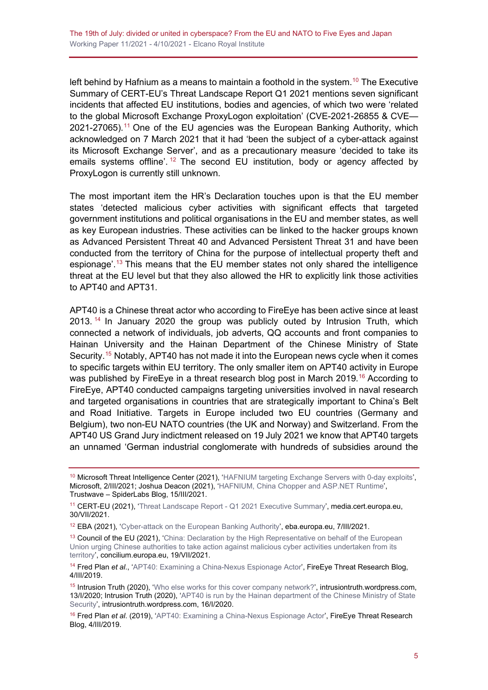left behind by Hafnium as a means to maintain a foothold in the system. [10](#page-4-0) The Executive Summary of CERT-EU's Threat Landscape Report Q1 2021 mentions seven significant incidents that affected EU institutions, bodies and agencies, of which two were 'related to the global Microsoft Exchange ProxyLogon exploitation' (CVE-2021-26855 & CVE— 2021-27065).[11](#page-4-1) One of the EU agencies was the European Banking Authority, which acknowledged on 7 March 2021 that it had 'been the subject of a cyber-attack against its Microsoft Exchange Server', and as a precautionary measure 'decided to take its emails systems offline'.<sup>[12](#page-4-2)</sup> The second EU institution, body or agency affected by ProxyLogon is currently still unknown.

The most important item the HR's Declaration touches upon is that the EU member states 'detected malicious cyber activities with significant effects that targeted government institutions and political organisations in the EU and member states, as well as key European industries. These activities can be linked to the hacker groups known as Advanced Persistent Threat 40 and Advanced Persistent Threat 31 and have been conducted from the territory of China for the purpose of intellectual property theft and espionage'. [13](#page-4-3) This means that the EU member states not only shared the intelligence threat at the EU level but that they also allowed the HR to explicitly link those activities to APT40 and APT31.

APT40 is a Chinese threat actor who according to FireEye has been active since at least 2013. [14](#page-4-4) In January 2020 the group was publicly outed by Intrusion Truth, which connected a network of individuals, job adverts, QQ accounts and front companies to Hainan University and the Hainan Department of the Chinese Ministry of State Security.[15](#page-4-5) Notably, APT40 has not made it into the European news cycle when it comes to specific targets within EU territory. The only smaller item on APT40 activity in Europe was published by FireEye in a threat research blog post in March 2019.<sup>[16](#page-4-6)</sup> According to FireEye, APT40 conducted campaigns targeting universities involved in naval research and targeted organisations in countries that are strategically important to China's Belt and Road Initiative. Targets in Europe included two EU countries (Germany and Belgium), two non-EU NATO countries (the UK and Norway) and Switzerland. From the APT40 US Grand Jury indictment released on 19 July 2021 we know that APT40 targets an unnamed 'German industrial conglomerate with hundreds of subsidies around the

<span id="page-4-0"></span><sup>&</sup>lt;sup>10</sup> Microsoft Threat Intelligence Center (2021), ['HAFNIUM targeting Exchange Servers with 0-day exploits',](https://www.microsoft.com/security/blog/2021/03/02/hafnium-targeting-exchange-servers/) Microsoft, 2/III/2021; Joshua Deacon (2021), ['HAFNIUM, China Chopper and ASP.NET Runtime'](https://www.trustwave.com/en-us/resources/blogs/spiderlabs-blog/hafnium-china-chopper-and-aspnet-runtime/), Trustwave – SpiderLabs Blog, 15/III/2021.

<span id="page-4-1"></span><sup>11</sup> CERT-EU (2021), 'Threat Landscape Report - [Q1 2021 Executive Summary'](https://media.cert.europa.eu/static/MEMO/2021/TLP-WHITE-2021Q1-Threat_Landscape_Report-Executive-Summary-v1.0.pdf), media.cert.europa.eu, 30/VII/2021.

<span id="page-4-2"></span><sup>12</sup> EBA (2021), ['Cyber-attack on the European Banking Authority'](https://www.eba.europa.eu/cyber-attack-european-banking-authority), eba.europa.eu, 7/III/2021.

<span id="page-4-3"></span><sup>&</sup>lt;sup>13</sup> Council of the EU (2021), 'China: Declaration by the High Representative on behalf of the European [Union urging Chinese authorities to take action against malicious cyber activities undertaken from its](https://www.consilium.europa.eu/en/press/press-releases/2021/07/19/declaration-by-the-high-representative-on-behalf-of-the-eu-urging-china-to-take-action-against-malicious-cyber-activities-undertaken-from-its-territory/)  [territory',](https://www.consilium.europa.eu/en/press/press-releases/2021/07/19/declaration-by-the-high-representative-on-behalf-of-the-eu-urging-china-to-take-action-against-malicious-cyber-activities-undertaken-from-its-territory/) concilium.europa.eu, 19/VII/2021.

<span id="page-4-4"></span><sup>14</sup> Fred Plan *et al*., ['APT40: Examining a China-Nexus Espionage Actor',](https://www.fireeye.com/blog/threat-research/2019/03/apt40-examining-a-china-nexus-espionage-actor.html) FireEye Threat Research Blog, 4/III/2019.

<span id="page-4-5"></span><sup>&</sup>lt;sup>15</sup> Intrusion Truth (2020), ['Who else works for this cover company network?',](https://intrusiontruth.wordpress.com/2020/01/13/who-else-works-for-this-cover-company-network/) intrusiontruth.wordpress.com, 13/I/2020; Intrusion Truth (2020), ['APT40 is run by the Hainan department of the Chinese Ministry of State](https://intrusiontruth.wordpress.com/2020/01/16/apt40-is-run-by-the-hainan-department-of-the-chinese-ministry-of-state-security/)  [Security',](https://intrusiontruth.wordpress.com/2020/01/16/apt40-is-run-by-the-hainan-department-of-the-chinese-ministry-of-state-security/) intrusiontruth.wordpress.com, 16/I/2020.

<span id="page-4-6"></span><sup>16</sup> Fred Plan *et al*. (2019), ['APT40: Examining a China-Nexus Espionage Actor'](https://www.fireeye.com/blog/threat-research/2019/03/apt40-examining-a-china-nexus-espionage-actor.html), FireEye Threat Research Blog, 4/III/2019.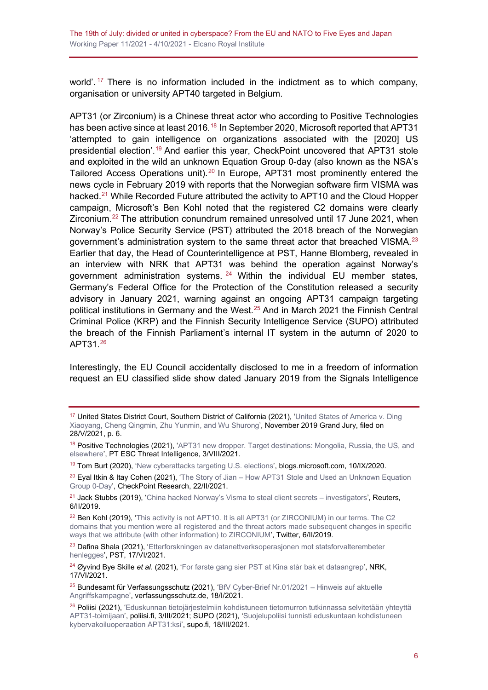world'.  $17$  There is no information included in the indictment as to which company, organisation or university APT40 targeted in Belgium.

APT31 (or Zirconium) is a Chinese threat actor who according to Positive Technologies has been active since at least 2016.<sup>[18](#page-5-1)</sup> In September 2020, Microsoft reported that APT31 'attempted to gain intelligence on organizations associated with the [2020] US presidential election'. [19](#page-5-2) And earlier this year, CheckPoint uncovered that APT31 stole and exploited in the wild an unknown Equation Group 0-day (also known as the NSA's Tailored Access Operations unit).<sup>[20](#page-5-3)</sup> In Europe, APT31 most prominently entered the news cycle in February 2019 with reports that the Norwegian software firm VISMA was hacked.<sup>[21](#page-5-4)</sup> While Recorded Future attributed the activity to APT10 and the Cloud Hopper campaign, Microsoft's Ben Kohl noted that the registered C2 domains were clearly Zirconium.<sup>[22](#page-5-5)</sup> The attribution conundrum remained unresolved until 17 June 2021, when Norway's Police Security Service (PST) attributed the 2018 breach of the Norwegian government's administration system to the same threat actor that breached VISMA.[23](#page-5-6) Earlier that day, the Head of Counterintelligence at PST, Hanne Blomberg, revealed in an interview with NRK that APT31 was behind the operation against Norway's government administration systems.  $24$  Within the individual EU member states, Germany's Federal Office for the Protection of the Constitution released a security advisory in January 2021, warning against an ongoing APT31 campaign targeting political institutions in Germany and the West.<sup>[25](#page-5-8)</sup> And in March 2021 the Finnish Central Criminal Police (KRP) and the Finnish Security Intelligence Service (SUPO) attributed the breach of the Finnish Parliament's internal IT system in the autumn of 2020 to APT31.[26](#page-5-9)

Interestingly, the EU Council accidentally disclosed to me in a freedom of information request an EU classified slide show dated January 2019 from the Signals Intelligence

<span id="page-5-2"></span><sup>19</sup> Tom Burt (2020), ['New cyberattacks targeting U.S. elections',](https://blogs.microsoft.com/on-the-issues/2020/09/10/cyberattacks-us-elections-trump-biden/) blogs.microsoft.com, 10/IX/2020.

<span id="page-5-3"></span> $20$  Eyal Itkin & Itay Cohen (2021), 'The Story of Jian – How APT31 Stole and Used an Unknown Equation [Group 0-Day',](https://research.checkpoint.com/2021/the-story-of-jian/) CheckPoint Research, 22/II/2021.

<span id="page-5-4"></span><sup>21</sup> Jack Stubbs (2019). ['China hacked Norway's Visma to steal client secrets –](https://www.reuters.com/article/china-cyber-norway-visma/china-hacked-norways-visma-to-steal-client-secrets-investigators-idUKL5N1ZZ3WH?edition-redirect=uk) investigators', Reuters, 6/II/2019.

<span id="page-5-5"></span><sup>22</sup> Ben Kohl (2019), 'This activity is not APT10. It is all APT31 (or ZIRCONIUM) in our terms. The C2 [domains that you mention were all registered and the threat actors made subsequent](https://twitter.com/bkMSFT/status/1093109336740642816) changes in specific [ways that we attribute \(with other information\) to ZIRCONIUM'](https://twitter.com/bkMSFT/status/1093109336740642816), Twitter, 6/II/2019.

<span id="page-5-6"></span><sup>23</sup> Dafina Shala (2021), 'Etterforskningen av datanettverksoperasjonen mot statsforvalterembeter [henlegges',](https://pst.no/alle-artikler/pressemeldinger/etterforskningen-av-datanettverksoperasjonen-mot-fylkesmannsembetene-er-avsluttet/) PST, 17/VI/2021.

<span id="page-5-7"></span><sup>24</sup> Øyvind Bye Skille *et al*. (2021), ['For første gang sier PST at Kina står bak et dataangrep',](https://www.nrk.no/norge/pst_-har-etterretning-om-at-kinesisk-gruppe-stod-bak-dataangrep-mot-statsforvaltere-1.15540601) NRK, 17/VI/2021.

<span id="page-5-8"></span><sup>25</sup> Bundesamt für Verfassungsschutz (2021), ['BfV Cyber-Brief Nr.01/2021 –](https://www.verfassungsschutz.de/SharedDocs/publikationen/DE/2021/bfv-cyber-brief-2021-1.pdf?__blob=publicationFile&v=9) Hinweis auf aktuelle [Angriffskampagne',](https://www.verfassungsschutz.de/SharedDocs/publikationen/DE/2021/bfv-cyber-brief-2021-1.pdf?__blob=publicationFile&v=9) verfassungsschutz.de, 18/I/2021.

<span id="page-5-0"></span><sup>17</sup> United States District Court, Southern District of California (2021), 'United States of America v. Ding [Xiaoyang, Cheng Qingmin, Zhu Yunmin, and Wu Shurong'](https://www.justice.gov/opa/press-release/file/1412916/download), November 2019 Grand Jury, filed on 28/V/2021, p. 6.

<span id="page-5-1"></span><sup>&</sup>lt;sup>18</sup> Positive Technologies (2021), 'APT31 new dropper. Target destinations: Mongolia, Russia, the US, and [elsewhere'](https://www.ptsecurity.com/ww-en/analytics/pt-esc-threat-intelligence/apt31-new-attacks/), PT ESC Threat Intelligence, 3/VIII/2021.

<span id="page-5-9"></span><sup>&</sup>lt;sup>26</sup> Poliisi (2021), 'Eduskunnan tietojärjestelmiin kohdistuneen tietomurron tutkinnassa selvitetään yhteyttä [APT31-toimijaan',](https://poliisi.fi/-/eduskunnan-tietojarjestelmiin-kohdistuneen-tietomurron-tutkinnassa-selvitetaan-yhteytta-apt31-toimijaan) poliisi.fi, 3/III/2021; SUPO (2021), ['Suojelupoliisi tunnisti eduskuntaan kohdistuneen](https://supo.fi/-/suojelupoliisi-tunnisti-eduskuntaan-kohdistuneen-kybervakoiluoperaation-apt31-ksi)  [kybervakoiluoperaation APT31:ksi'](https://supo.fi/-/suojelupoliisi-tunnisti-eduskuntaan-kohdistuneen-kybervakoiluoperaation-apt31-ksi), supo.fi, 18/III/2021.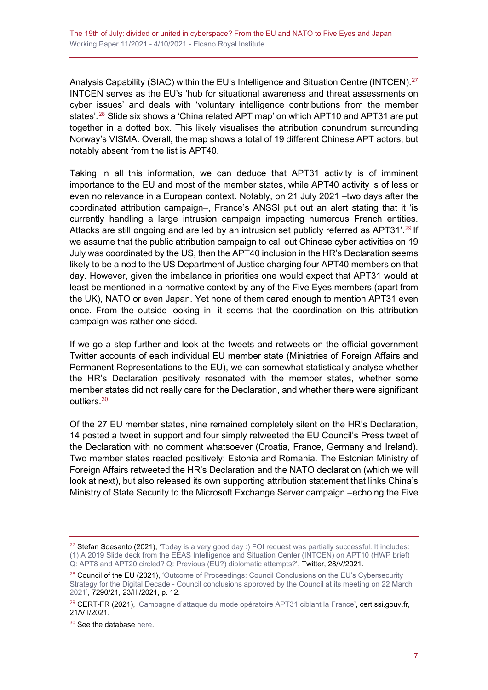Analysis Capability (SIAC) within the EU's Intelligence and Situation Centre (INTCEN).<sup>[27](#page-6-0)</sup> INTCEN serves as the EU's 'hub for situational awareness and threat assessments on cyber issues' and deals with 'voluntary intelligence contributions from the member states'.<sup>[28](#page-6-1)</sup> Slide six shows a 'China related APT map' on which APT10 and APT31 are put together in a dotted box. This likely visualises the attribution conundrum surrounding Norway's VISMA. Overall, the map shows a total of 19 different Chinese APT actors, but notably absent from the list is APT40.

Taking in all this information, we can deduce that APT31 activity is of imminent importance to the EU and most of the member states, while APT40 activity is of less or even no relevance in a European context. Notably, on 21 July 2021 –two days after the coordinated attribution campaign–, France's ANSSI put out an alert stating that it 'is currently handling a large intrusion campaign impacting numerous French entities. Attacks are still ongoing and are led by an intrusion set publicly referred as APT31'.<sup>[29](#page-6-2)</sup> If we assume that the public attribution campaign to call out Chinese cyber activities on 19 July was coordinated by the US, then the APT40 inclusion in the HR's Declaration seems likely to be a nod to the US Department of Justice charging four APT40 members on that day. However, given the imbalance in priorities one would expect that APT31 would at least be mentioned in a normative context by any of the Five Eyes members (apart from the UK), NATO or even Japan. Yet none of them cared enough to mention APT31 even once. From the outside looking in, it seems that the coordination on this attribution campaign was rather one sided.

If we go a step further and look at the tweets and retweets on the official government Twitter accounts of each individual EU member state (Ministries of Foreign Affairs and Permanent Representations to the EU), we can somewhat statistically analyse whether the HR's Declaration positively resonated with the member states, whether some member states did not really care for the Declaration, and whether there were significant outliers.[30](#page-6-3)

Of the 27 EU member states, nine remained completely silent on the HR's Declaration, 14 posted a tweet in support and four simply retweeted the EU Council's Press tweet of the Declaration with no comment whatsoever (Croatia, France, Germany and Ireland). Two member states reacted positively: Estonia and Romania. The Estonian Ministry of Foreign Affairs retweeted the HR's Declaration and the NATO declaration (which we will look at next), but also released its own supporting attribution statement that links China's Ministry of State Security to the Microsoft Exchange Server campaign –echoing the Five

<span id="page-6-0"></span><sup>&</sup>lt;sup>27</sup> Stefan Soesanto (2021), ['Today is a very good day :\) FOI request was partially successful. It includes:](https://twitter.com/iiyonite/status/1398222178429063170) [\(1\) A 2019 Slide deck from the EEAS Intelligence and Situation Center \(INTCEN\) on APT10 \(HWP brief\)](https://twitter.com/iiyonite/status/1398222178429063170)  [Q: APT8 and APT20 circled? Q: Previous \(EU?\) diplomatic attempts?'](https://twitter.com/iiyonite/status/1398222178429063170), Twitter, 28/V/2021.

<span id="page-6-1"></span><sup>&</sup>lt;sup>28</sup> Council of the EU (2021), 'Outcome of Proceedings: Council Conclusions on the EU's Cybersecurity Strategy for the Digital Decade - [Council conclusions approved by the Council at its meeting on 22 March](https://data.consilium.europa.eu/doc/document/ST-7290-2021-INIT/en/pdf)  [2021'](https://data.consilium.europa.eu/doc/document/ST-7290-2021-INIT/en/pdf), 7290/21, 23/III/2021, p. 12.

<span id="page-6-2"></span><sup>&</sup>lt;sup>29</sup> CERT-FR (2021), ['Campagne d'attaque du mode opératoire APT31 ciblant la France'](https://www.cert.ssi.gouv.fr/ioc/CERTFR-2021-IOC-003/), cert.ssi.gouv.fr, 21/VII/2021.

<span id="page-6-3"></span><sup>&</sup>lt;sup>30</sup> See the database [here.](https://docs.google.com/spreadsheets/d/e/2PACX-1vT79QCetpcm_Vj6DXiKAOyD3UDA17GEyv8q2Mqjw5JN3NnRm1FWE6xUNsF3CacDv7NtS8D41OtOpyAT/pub?output=xlsx)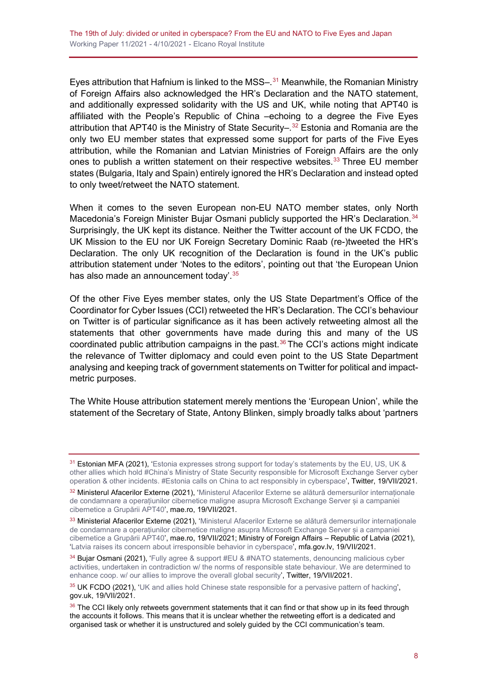Eyes attribution that Hafnium is linked to the MSS-.<sup>[31](#page-7-0)</sup> Meanwhile, the Romanian Ministry of Foreign Affairs also acknowledged the HR's Declaration and the NATO statement, and additionally expressed solidarity with the US and UK, while noting that APT40 is affiliated with the People's Republic of China –echoing to a degree the Five Eyes attribution that APT40 is the Ministry of State Security–. [32](#page-7-1) Estonia and Romania are the only two EU member states that expressed some support for parts of the Five Eyes attribution, while the Romanian and Latvian Ministries of Foreign Affairs are the only ones to publish a written statement on their respective websites.<sup>[33](#page-7-2)</sup> Three EU member states (Bulgaria, Italy and Spain) entirely ignored the HR's Declaration and instead opted to only tweet/retweet the NATO statement.

When it comes to the seven European non-EU NATO member states, only North Macedonia's Foreign Minister Bujar Osmani publicly supported the HR's Declaration.<sup>[34](#page-7-3)</sup> Surprisingly, the UK kept its distance. Neither the Twitter account of the UK FCDO, the UK Mission to the EU nor UK Foreign Secretary Dominic Raab (re-)tweeted the HR's Declaration. The only UK recognition of the Declaration is found in the UK's public attribution statement under 'Notes to the editors', pointing out that 'the European Union has also made an announcement today'. [35](#page-7-4)

Of the other Five Eyes member states, only the US State Department's Office of the Coordinator for Cyber Issues (CCI) retweeted the HR's Declaration. The CCI's behaviour on Twitter is of particular significance as it has been actively retweeting almost all the statements that other governments have made during this and many of the US coordinated public attribution campaigns in the past. $36$  The CCI's actions might indicate the relevance of Twitter diplomacy and could even point to the US State Department analysing and keeping track of government statements on Twitter for political and impactmetric purposes.

The White House attribution statement merely mentions the 'European Union', while the statement of the Secretary of State, Antony Blinken, simply broadly talks about 'partners

<span id="page-7-0"></span><sup>&</sup>lt;sup>31</sup> Estonian MFA (2021), 'Estonia expresses strong support for today's statements by the EU, US, UK & [other allies which hold #China's Ministry of State Security responsible for Microsoft Exchange Server cyber](https://twitter.com/MFAestonia/status/1417079281075769347)  [operation & other incidents. #Estonia calls on China to act responsibly in cyberspace',](https://twitter.com/MFAestonia/status/1417079281075769347) Twitter, 19/VII/2021.

<span id="page-7-1"></span><sup>32</sup> Ministerul Afacerilor Externe (2021), '[Ministerul Afacerilor Externe se alătură demersurilor internaționale](https://www.mae.ro/node/56228)  [de condamnare a operațiunilor cibernetice maligne asupra Microsoft Exchange Server și a campaniei](https://www.mae.ro/node/56228)  [cibernetice a Grupării APT40](https://www.mae.ro/node/56228)', mae.ro, 19/VII/2021.

<span id="page-7-2"></span><sup>33</sup> Ministerial Afacerilor Externe (2021), 'Ministerul Afacerilor Externe se alătură demersurilor internaționale [de condamnare a operațiunilor cibernetice maligne asupra](https://www.mae.ro/node/56228) Microsoft Exchange Server și a campaniei [cibernetice a Grupării APT40](https://www.mae.ro/node/56228)', mae.ro, 19/VII/2021; Ministry of Foreign Affairs – Republic of Latvia (2021), ['Latvia raises its concern about irresponsible behavior in cyberspace'](https://www.mfa.gov.lv/en/article/latvia-raises-its-concern-about-irresponsible-behavior-cyberspace), mfa.gov.lv, 19/VII/2021.

<span id="page-7-3"></span><sup>34</sup> Bujar Osmani (2021), 'Fully agree & support #EU & #NATO statements, denouncing malicious cyber [activities, undertaken in contradiction w/ the norms of responsible state behaviour. We are determined to](https://twitter.com/Bujar_O/status/1417204289982844938)  [enhance coop. w/ our allies to improve the overall global security',](https://twitter.com/Bujar_O/status/1417204289982844938) Twitter, 19/VII/2021.

<span id="page-7-4"></span><sup>35</sup> UK FCDO (2021), ['UK and allies hold Chinese state responsible for a pervasive pattern of hacking',](https://www.gov.uk/government/news/uk-and-allies-hold-chinese-state-responsible-for-a-pervasive-pattern-of-hacking) gov.uk, 19/VII/2021.

<span id="page-7-5"></span><sup>&</sup>lt;sup>36</sup> The CCI likely only retweets government statements that it can find or that show up in its feed through the accounts it follows. This means that it is unclear whether the retweeting effort is a dedicated and organised task or whether it is unstructured and solely guided by the CCI communication's team.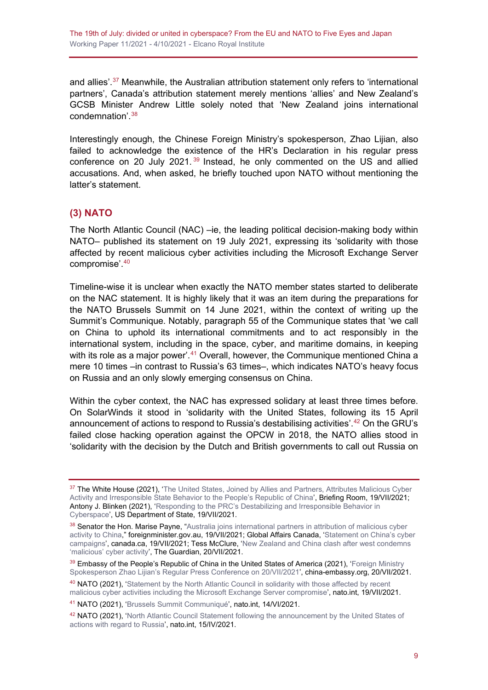and allies'.<sup>[37](#page-8-1)</sup> Meanwhile, the Australian attribution statement only refers to 'international partners', Canada's attribution statement merely mentions 'allies' and New Zealand's GCSB Minister Andrew Little solely noted that 'New Zealand joins international condemnation'. [38](#page-8-2)

Interestingly enough, the Chinese Foreign Ministry's spokesperson, Zhao Lijian, also failed to acknowledge the existence of the HR's Declaration in his regular press conference on 20 July 2021. $39$  Instead, he only commented on the US and allied accusations. And, when asked, he briefly touched upon NATO without mentioning the latter's statement.

#### <span id="page-8-0"></span>**(3) NATO**

The North Atlantic Council (NAC) –ie, the leading political decision-making body within NATO– published its statement on 19 July 2021, expressing its 'solidarity with those affected by recent malicious cyber activities including the Microsoft Exchange Server compromise'. [40](#page-8-4)

Timeline-wise it is unclear when exactly the NATO member states started to deliberate on the NAC statement. It is highly likely that it was an item during the preparations for the NATO Brussels Summit on 14 June 2021, within the context of writing up the Summit's Communique. Notably, paragraph 55 of the Communique states that 'we call on China to uphold its international commitments and to act responsibly in the international system, including in the space, cyber, and maritime domains, in keeping with its role as a major power'.<sup>[41](#page-8-5)</sup> Overall, however, the Communique mentioned China a mere 10 times –in contrast to Russia's 63 times–, which indicates NATO's heavy focus on Russia and an only slowly emerging consensus on China.

Within the cyber context, the NAC has expressed solidary at least three times before. On SolarWinds it stood in 'solidarity with the United States, following its 15 April announcement of actions to respond to Russia's destabilising activities'. [42](#page-8-6) On the GRU's failed close hacking operation against the OPCW in 2018, the NATO allies stood in 'solidarity with the decision by the Dutch and British governments to call out Russia on

<span id="page-8-1"></span><sup>&</sup>lt;sup>37</sup> The White House (2021), 'The United States, Joined by Allies and Partners, Attributes Malicious Cyber [Activity and Irresponsible State Behavior to the People's Republic of China'](https://www.whitehouse.gov/briefing-room/statements-releases/2021/07/19/the-united-states-joined-by-allies-and-partners-attributes-malicious-cyber-activity-and-irresponsible-state-behavior-to-the-peoples-republic-of-china/), Briefing Room, 19/VII/2021; Antony J. Blinken (2021), ['Responding to the PRC's Destabilizing and Irresponsible Behavior in](https://www.state.gov/responding-to-the-prcs-destabilizing-and-irresponsible-behavior-in-cyberspace/)  [Cyberspace'](https://www.state.gov/responding-to-the-prcs-destabilizing-and-irresponsible-behavior-in-cyberspace/), US Department of State, 19/VII/2021.

<span id="page-8-2"></span><sup>38</sup> Senator the Hon. Marise Payne, "Australia joins international partners in attribution of malicious cyber [activity to China,](https://www.foreignminister.gov.au/minister/marise-payne/media-release/australia-joins-international-partners-attribution-malicious-cyber-activity-china)" foreignminister.gov.au, 19/VII/2021; Global Affairs Canada, ['Statement on China's cyber](https://www.canada.ca/en/global-affairs/news/2021/07/statement-on-chinas-cyber-campaigns.html)  [campaigns',](https://www.canada.ca/en/global-affairs/news/2021/07/statement-on-chinas-cyber-campaigns.html) canada.ca, 19/VII/2021; Tess McClure, ['New Zealand and China clash after west condemns](https://www.theguardian.com/world/2021/jul/20/new-zealand-and-china-clash-after-west-condemns-malicious-cyber-activity)  ['malicious' cyber activity'](https://www.theguardian.com/world/2021/jul/20/new-zealand-and-china-clash-after-west-condemns-malicious-cyber-activity), The Guardian, 20/VII/2021.

<span id="page-8-3"></span><sup>39</sup> Embassy of the People's Republic of China in the United States of America (2021), 'Foreign Ministry [Spokesperson Zhao Lijian's Regular Press Conference on 20/VII/2021'](http://www.china-embassy.org/eng/fyrth/t1893769.htm), china-embassy.org, 20/VII/2021.

<span id="page-8-4"></span><sup>&</sup>lt;sup>40</sup> NATO (2021), 'Statement by the North Atlantic Council in solidarity with those affected by recent [malicious cyber activities including the Microsoft Exchange Server compromise'](https://www.nato.int/cps/en/natohq/news_185863.htm), nato.int, 19/VII/2021.

<span id="page-8-5"></span><sup>41</sup> NATO (2021), ['Brussels Summit Communiqué',](https://www.nato.int/cps/en/natohq/news_185000.htm) nato.int, 14/VI/2021.

<span id="page-8-6"></span><sup>42</sup> NATO (2021), 'North Atlantic Council Statement following the announcement by the United States of [actions with regard to Russia',](https://www.nato.int/cps/en/natohq/official_texts_183168.htm?selectedLocale=en) nato.int, 15/IV/2021.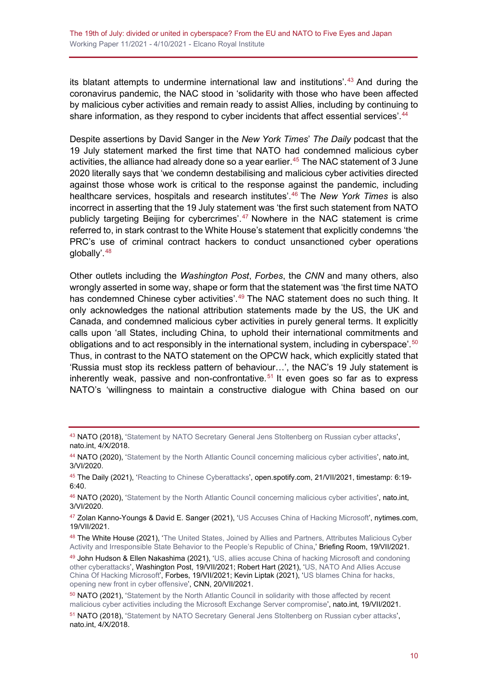its blatant attempts to undermine international law and institutions'. [43](#page-9-0) And during the coronavirus pandemic, the NAC stood in 'solidarity with those who have been affected by malicious cyber activities and remain ready to assist Allies, including by continuing to share information, as they respond to cyber incidents that affect essential services'.<sup>[44](#page-9-1)</sup>

Despite assertions by David Sanger in the *New York Times*' *The Daily* podcast that the 19 July statement marked the first time that NATO had condemned malicious cyber activities, the alliance had already done so a year earlier. [45](#page-9-2) The NAC statement of 3 June 2020 literally says that 'we condemn destabilising and malicious cyber activities directed against those whose work is critical to the response against the pandemic, including healthcare services, hospitals and research institutes'. [46](#page-9-3) The *New York Times* is also incorrect in asserting that the 19 July statement was 'the first such statement from NATO publicly targeting Beijing for cybercrimes'. [47](#page-9-4) Nowhere in the NAC statement is crime referred to, in stark contrast to the White House's statement that explicitly condemns 'the PRC's use of criminal contract hackers to conduct unsanctioned cyber operations globally'.<sup>[48](#page-9-5)</sup>

Other outlets including the *Washington Post*, *Forbes*, the *CNN* and many others, also wrongly asserted in some way, shape or form that the statement was 'the first time NATO has condemned Chinese cyber activities'.<sup>[49](#page-9-6)</sup> The NAC statement does no such thing. It only acknowledges the national attribution statements made by the US, the UK and Canada, and condemned malicious cyber activities in purely general terms. It explicitly calls upon 'all States, including China, to uphold their international commitments and obligations and to act responsibly in the international system, including in cyberspace'.  $^{\rm 50}$  $^{\rm 50}$  $^{\rm 50}$ Thus, in contrast to the NATO statement on the OPCW hack, which explicitly stated that 'Russia must stop its reckless pattern of behaviour…', the NAC's 19 July statement is inherently weak, passive and non-confrontative.<sup>[51](#page-9-8)</sup> It even goes so far as to express NATO's 'willingness to maintain a constructive dialogue with China based on our

<span id="page-9-0"></span><sup>43</sup> NATO (2018), ['Statement by NATO Secretary General Jens Stoltenberg on Russian cyber attacks'](https://www.nato.int/cps/en/natohq/news_158911.htm?selectedLocale=en), nato.int, 4/X/2018.

<span id="page-9-1"></span><sup>44</sup> NATO (2020), ['Statement by the North Atlantic Council concerning malicious cyber activities'](https://www.nato.int/cps/en/natohq/official_texts_176136.htm?selectedLocale=en), nato.int, 3/VI/2020.

<span id="page-9-2"></span><sup>45</sup> The Daily (2021), ['Reacting to Chinese Cyberattacks'](https://open.spotify.com/show/3IM0lmZxpFAY7CwMuv9H4g?si=SfuMSC55R1qprFsRZU3_zw&nd=1), open.spotify.com, 21/VII/2021, timestamp: 6:19-6:40.

<span id="page-9-3"></span><sup>46</sup> NATO (2020), ['Statement by the North Atlantic Council concerning malicious cyber activities'](https://www.nato.int/cps/en/natohq/official_texts_176136.htm?selectedLocale=en), nato.int, 3/VI/2020.

<span id="page-9-4"></span><sup>47</sup> Zolan Kanno-Youngs & David E. Sanger (2021), ['US Accuses China of Hacking Microsoft'](https://www.nytimes.com/2021/07/19/us/politics/microsoft-hacking-china-biden.html), nytimes.com, 19/VII/2021.

<span id="page-9-5"></span><sup>48</sup> The White House (2021), 'The United States, Joined by Allies and Partners, Attributes Malicious Cyber [Activity and Irresponsible State Behavior to the People's Republic of China,](https://www.whitehouse.gov/briefing-room/statements-releases/2021/07/19/the-united-states-joined-by-allies-and-partners-attributes-malicious-cyber-activity-and-irresponsible-state-behavior-to-the-peoples-republic-of-china/)' Briefing Room, 19/VII/2021.

<span id="page-9-6"></span><sup>49</sup> John Hudson & Ellen Nakashima (2021), ['US, allies accuse China of hacking Microsoft and condoning](https://www.washingtonpost.com/national-security/microsoft-hack-china-biden-nato/2021/07/19/a90ac7b4-e827-11eb-84a2-d93bc0b50294_story.html)  [other cyberattacks',](https://www.washingtonpost.com/national-security/microsoft-hack-china-biden-nato/2021/07/19/a90ac7b4-e827-11eb-84a2-d93bc0b50294_story.html) Washington Post, 19/VII/2021; Robert Hart (2021), ['US, NATO And Allies Accuse](https://www.forbes.com/sites/roberthart/2021/07/19/us-nato-and-allies-accuse-china-of-hacking-microsoft/?sh=513a6ed918a9)  [China Of Hacking Microsoft',](https://www.forbes.com/sites/roberthart/2021/07/19/us-nato-and-allies-accuse-china-of-hacking-microsoft/?sh=513a6ed918a9) Forbes, 19/VII/2021; Kevin Liptak (2021), 'US blames [China for hacks,](https://edition.cnn.com/2021/07/19/politics/us-china-cyber-offensive/index.html)  [opening new front in cyber offensive'](https://edition.cnn.com/2021/07/19/politics/us-china-cyber-offensive/index.html), CNN, 20/VII/2021.

<span id="page-9-7"></span><sup>&</sup>lt;sup>50</sup> NATO (2021), 'Statement by the North Atlantic Council in solidarity with those affected by recent [malicious cyber activities including the Microsoft Exchange Server compromise'](https://www.nato.int/cps/en/natohq/news_185863.htm), nato.int, 19/VII/2021.

<span id="page-9-8"></span><sup>51</sup> NATO (2018), ['Statement by NATO Secretary General Jens Stoltenberg](https://www.nato.int/cps/en/natohq/news_158911.htm?selectedLocale=en) on Russian cyber attacks', nato.int, 4/X/2018.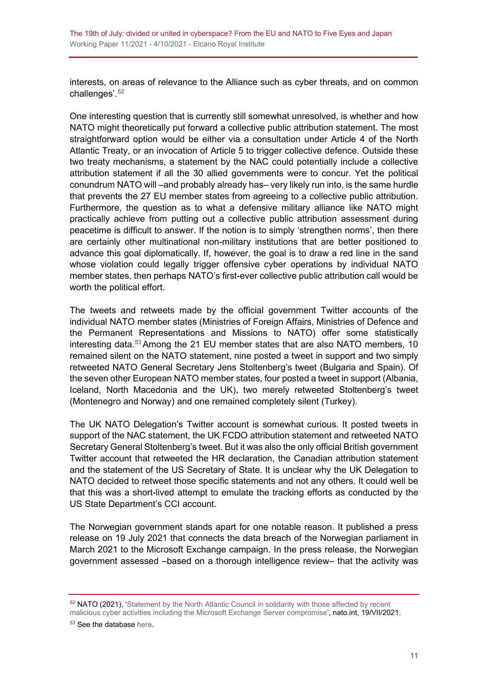interests, on areas of relevance to the Alliance such as cyber threats, and on common challenges' <sup>[52](#page-10-0)</sup>

One interesting question that is currently still somewhat unresolved, is whether and how NATO might theoretically put forward a collective public attribution statement. The most straightforward option would be either via a consultation under Article 4 of the North Atlantic Treaty, or an invocation of Article 5 to trigger collective defence. Outside these two treaty mechanisms, a statement by the NAC could potentially include a collective attribution statement if all the 30 allied governments were to concur. Yet the political conundrum NATO will –and probably already has– very likely run into, is the same hurdle that prevents the 27 EU member states from agreeing to a collective public attribution. Furthermore, the question as to what a defensive military alliance like NATO might practically achieve from putting out a collective public attribution assessment during peacetime is difficult to answer. If the notion is to simply 'strengthen norms', then there are certainly other multinational non-military institutions that are better positioned to advance this goal diplomatically. If, however, the goal is to draw a red line in the sand whose violation could legally trigger offensive cyber operations by individual NATO member states, then perhaps NATO's first-ever collective public attribution call would be worth the political effort.

The tweets and retweets made by the official government Twitter accounts of the individual NATO member states (Ministries of Foreign Affairs, Ministries of Defence and the Permanent Representations and Missions to NATO) offer some statistically interesting data.<sup>[53](#page-10-1)</sup> Among the 21 EU member states that are also NATO members, 10 remained silent on the NATO statement, nine posted a tweet in support and two simply retweeted NATO General Secretary Jens Stoltenberg's tweet (Bulgaria and Spain). Of the seven other European NATO member states, four posted a tweet in support (Albania, Iceland, North Macedonia and the UK), two merely retweeted Stoltenberg's tweet (Montenegro and Norway) and one remained completely silent (Turkey).

The UK NATO Delegation's Twitter account is somewhat curious. It posted tweets in support of the NAC statement, the UK FCDO attribution statement and retweeted NATO Secretary General Stoltenberg's tweet. But it was also the only official British government Twitter account that retweeted the HR declaration, the Canadian attribution statement and the statement of the US Secretary of State. It is unclear why the UK Delegation to NATO decided to retweet those specific statements and not any others. It could well be that this was a short-lived attempt to emulate the tracking efforts as conducted by the US State Department's CCI account.

The Norwegian government stands apart for one notable reason. It published a press release on 19 July 2021 that connects the data breach of the Norwegian parliament in March 2021 to the Microsoft Exchange campaign. In the press release, the Norwegian government assessed –based on a thorough intelligence review– that the activity was

<span id="page-10-0"></span><sup>&</sup>lt;sup>52</sup> NATO (2021), 'Statement by the North Atlantic Council in solidarity with those affected by recent [malicious cyber activities including the Microsoft Exchange Server compromise'](https://www.nato.int/cps/en/natohq/news_185863.htm), nato.int, 19/VII/2021.

<span id="page-10-1"></span><sup>53</sup> See the database [here.](https://docs.google.com/spreadsheets/d/e/2PACX-1vT79QCetpcm_Vj6DXiKAOyD3UDA17GEyv8q2Mqjw5JN3NnRm1FWE6xUNsF3CacDv7NtS8D41OtOpyAT/pub?output=xlsx)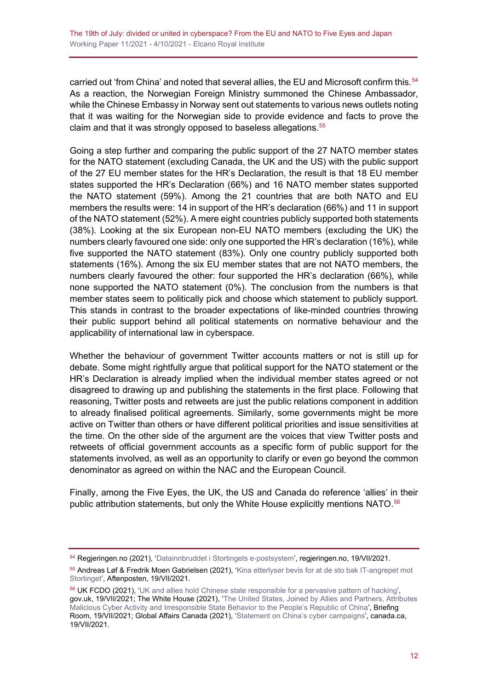carried out 'from China' and noted that several allies, the EU and Microsoft confirm this.<sup>[54](#page-11-0)</sup> As a reaction, the Norwegian Foreign Ministry summoned the Chinese Ambassador, while the Chinese Embassy in Norway sent out statements to various news outlets noting that it was waiting for the Norwegian side to provide evidence and facts to prove the claim and that it was strongly opposed to baseless allegations.<sup>[55](#page-11-1)</sup>

Going a step further and comparing the public support of the 27 NATO member states for the NATO statement (excluding Canada, the UK and the US) with the public support of the 27 EU member states for the HR's Declaration, the result is that 18 EU member states supported the HR's Declaration (66%) and 16 NATO member states supported the NATO statement (59%). Among the 21 countries that are both NATO and EU members the results were: 14 in support of the HR's declaration (66%) and 11 in support of the NATO statement (52%). A mere eight countries publicly supported both statements (38%). Looking at the six European non-EU NATO members (excluding the UK) the numbers clearly favoured one side: only one supported the HR's declaration (16%), while five supported the NATO statement (83%). Only one country publicly supported both statements (16%). Among the six EU member states that are not NATO members, the numbers clearly favoured the other: four supported the HR's declaration (66%), while none supported the NATO statement (0%). The conclusion from the numbers is that member states seem to politically pick and choose which statement to publicly support. This stands in contrast to the broader expectations of like-minded countries throwing their public support behind all political statements on normative behaviour and the applicability of international law in cyberspace.

Whether the behaviour of government Twitter accounts matters or not is still up for debate. Some might rightfully argue that political support for the NATO statement or the HR's Declaration is already implied when the individual member states agreed or not disagreed to drawing up and publishing the statements in the first place. Following that reasoning, Twitter posts and retweets are just the public relations component in addition to already finalised political agreements. Similarly, some governments might be more active on Twitter than others or have different political priorities and issue sensitivities at the time. On the other side of the argument are the voices that view Twitter posts and retweets of official government accounts as a specific form of public support for the statements involved, as well as an opportunity to clarify or even go beyond the common denominator as agreed on within the NAC and the European Council.

Finally, among the Five Eyes, the UK, the US and Canada do reference 'allies' in their public attribution statements, but only the White House explicitly mentions NATO.<sup>[56](#page-11-2)</sup>

<span id="page-11-0"></span><sup>54</sup> Regjeringen.no (2021), ['Datainnbruddet i Stortingets e-postsystem',](https://www.regjeringen.no/no/aktuelt/pm_datainnbrudd/id2866410/) regjeringen.no, 19/VII/2021.

<span id="page-11-1"></span><sup>55</sup> Andreas Løf & Fredrik Moen Gabrielsen (2021), ['Kina etterlyser bevis for at de sto bak IT-angrepet mot](https://www.aftenposten.no/norge/i/o6exMV/kina-etterlyser-bevis-for-at-de-sto-bak-it-angrepet-mot-stortinget)  [Stortinget',](https://www.aftenposten.no/norge/i/o6exMV/kina-etterlyser-bevis-for-at-de-sto-bak-it-angrepet-mot-stortinget) Aftenposten, 19/VII/2021.

<span id="page-11-2"></span><sup>56</sup> UK FCDO (2021), ['UK and allies hold Chinese state responsible for a pervasive pattern of hacking',](https://www.gov.uk/government/news/uk-and-allies-hold-chinese-state-responsible-for-a-pervasive-pattern-of-hacking) gov.uk, 19/VII/2021; The White House (2021), ['The United States, Joined by Allies and Partners, Attributes](https://www.whitehouse.gov/briefing-room/statements-releases/2021/07/19/the-united-states-joined-by-allies-and-partners-attributes-malicious-cyber-activity-and-irresponsible-state-behavior-to-the-peoples-republic-of-china/)  [Malicious Cyber Activity and Irresponsible State Behavior to the People's Republic of China',](https://www.whitehouse.gov/briefing-room/statements-releases/2021/07/19/the-united-states-joined-by-allies-and-partners-attributes-malicious-cyber-activity-and-irresponsible-state-behavior-to-the-peoples-republic-of-china/) Briefing Room, 19/VII/2021; Global Affairs Canada (2021), ['Statement on China's cyber campaigns'](https://www.canada.ca/en/global-affairs/news/2021/07/statement-on-chinas-cyber-campaigns.html), canada.ca, 19/VII/2021.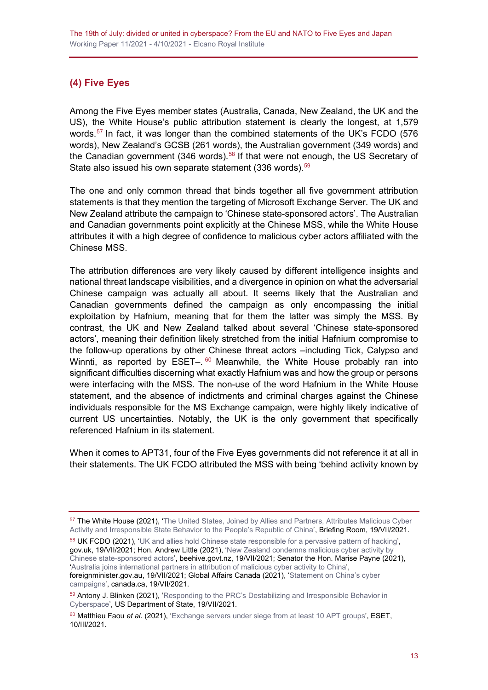## <span id="page-12-0"></span>**(4) Five Eyes**

Among the Five Eyes member states (Australia, Canada, New Zealand, the UK and the US), the White House's public attribution statement is clearly the longest, at 1,579 words.<sup>[57](#page-12-1)</sup> In fact, it was longer than the combined statements of the UK's FCDO (576) words), New Zealand's GCSB (261 words), the Australian government (349 words) and the Canadian government (346 words).<sup>[58](#page-12-2)</sup> If that were not enough, the US Secretary of State also issued his own separate statement  $(336 \text{ words})$ .  $59$ 

The one and only common thread that binds together all five government attribution statements is that they mention the targeting of Microsoft Exchange Server. The UK and New Zealand attribute the campaign to 'Chinese state-sponsored actors'. The Australian and Canadian governments point explicitly at the Chinese MSS, while the White House attributes it with a high degree of confidence to malicious cyber actors affiliated with the Chinese MSS.

The attribution differences are very likely caused by different intelligence insights and national threat landscape visibilities, and a divergence in opinion on what the adversarial Chinese campaign was actually all about. It seems likely that the Australian and Canadian governments defined the campaign as only encompassing the initial exploitation by Hafnium, meaning that for them the latter was simply the MSS. By contrast, the UK and New Zealand talked about several 'Chinese state-sponsored actors', meaning their definition likely stretched from the initial Hafnium compromise to the follow-up operations by other Chinese threat actors –including Tick, Calypso and Winnti, as reported by  $\text{ESET} - 60$  $\text{ESET} - 60$  Meanwhile, the White House probably ran into significant difficulties discerning what exactly Hafnium was and how the group or persons were interfacing with the MSS. The non-use of the word Hafnium in the White House statement, and the absence of indictments and criminal charges against the Chinese individuals responsible for the MS Exchange campaign, were highly likely indicative of current US uncertainties. Notably, the UK is the only government that specifically referenced Hafnium in its statement.

When it comes to APT31, four of the Five Eyes governments did not reference it at all in their statements. The UK FCDO attributed the MSS with being 'behind activity known by

<span id="page-12-1"></span><sup>57</sup> The White House (2021), 'The United States, Joined by Allies and Partners, Attributes Malicious Cyber [Activity and Irresponsible State Behavior to the People's Republic of China'](https://www.whitehouse.gov/briefing-room/statements-releases/2021/07/19/the-united-states-joined-by-allies-and-partners-attributes-malicious-cyber-activity-and-irresponsible-state-behavior-to-the-peoples-republic-of-china/), Briefing Room, 19/VII/2021.

<span id="page-12-2"></span><sup>58</sup> UK FCDO (2021), ['UK and allies hold Chinese state responsible for a pervasive pattern of hacking',](https://www.gov.uk/government/news/uk-and-allies-hold-chinese-state-responsible-for-a-pervasive-pattern-of-hacking) gov.uk, 19/VII/2021; Hon. Andrew Little (2021), ['New Zealand condemns malicious cyber activity by](https://www.beehive.govt.nz/release/new-zealand-condemns-malicious-cyber-activity-chinese-state-sponsored-actors)  [Chinese state-sponsored actors'](https://www.beehive.govt.nz/release/new-zealand-condemns-malicious-cyber-activity-chinese-state-sponsored-actors), beehive.govt.nz, 19/VII/2021; Senator the Hon. Marise Payne (2021), ['Australia joins international partners in attribution of malicious cyber activity to China'](https://www.foreignminister.gov.au/minister/marise-payne/media-release/australia-joins-international-partners-attribution-malicious-cyber-activity-china), foreignminister.gov.au, 19/VII/2021; Global Affairs Canada (2021), ['Statement on China's cyber](https://www.canada.ca/en/global-affairs/news/2021/07/statement-on-chinas-cyber-campaigns.html)  [campaigns',](https://www.canada.ca/en/global-affairs/news/2021/07/statement-on-chinas-cyber-campaigns.html) canada.ca, 19/VII/2021.

<span id="page-12-3"></span><sup>59</sup> Antony J. Blinken (2021), 'Responding to the PRC's Destabilizing and Irresponsible Behavior in [Cyberspace'](https://www.state.gov/responding-to-the-prcs-destabilizing-and-irresponsible-behavior-in-cyberspace/), US Department of State, 19/VII/2021.

<span id="page-12-4"></span><sup>60</sup> Matthieu Faou *et al*. (2021), ['Exchange servers under siege from at least 10 APT groups',](https://www.welivesecurity.com/2021/03/10/exchange-servers-under-siege-10-apt-groups/) ESET, 10/III/2021.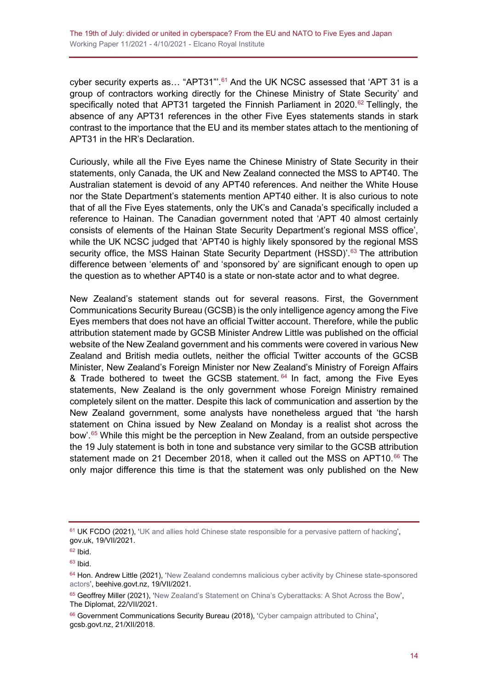cyber security experts as... "APT31"'.<sup>[61](#page-13-0)</sup> And the UK NCSC assessed that 'APT 31 is a group of contractors working directly for the Chinese Ministry of State Security' and specifically noted that APT31 targeted the Finnish Parliament in 2020.<sup>[62](#page-13-1)</sup> Tellingly, the absence of any APT31 references in the other Five Eyes statements stands in stark contrast to the importance that the EU and its member states attach to the mentioning of APT31 in the HR's Declaration.

Curiously, while all the Five Eyes name the Chinese Ministry of State Security in their statements, only Canada, the UK and New Zealand connected the MSS to APT40. The Australian statement is devoid of any APT40 references. And neither the White House nor the State Department's statements mention APT40 either. It is also curious to note that of all the Five Eyes statements, only the UK's and Canada's specifically included a reference to Hainan. The Canadian government noted that 'APT 40 almost certainly consists of elements of the Hainan State Security Department's regional MSS office', while the UK NCSC judged that 'APT40 is highly likely sponsored by the regional MSS security office, the MSS Hainan State Security Department (HSSD)'.<sup>[63](#page-13-2)</sup> The attribution difference between 'elements of' and 'sponsored by' are significant enough to open up the question as to whether APT40 is a state or non-state actor and to what degree.

New Zealand's statement stands out for several reasons. First, the Government Communications Security Bureau (GCSB) is the only intelligence agency among the Five Eyes members that does not have an official Twitter account. Therefore, while the public attribution statement made by GCSB Minister Andrew Little was published on the official website of the New Zealand government and his comments were covered in various New Zealand and British media outlets, neither the official Twitter accounts of the GCSB Minister, New Zealand's Foreign Minister nor New Zealand's Ministry of Foreign Affairs & Trade bothered to tweet the GCSB statement.  $64$  In fact, among the Five Eyes statements, New Zealand is the only government whose Foreign Ministry remained completely silent on the matter. Despite this lack of communication and assertion by the New Zealand government, some analysts have nonetheless argued that 'the harsh statement on China issued by New Zealand on Monday is a realist shot across the bow'. [65](#page-13-4) While this might be the perception in New Zealand, from an outside perspective the 19 July statement is both in tone and substance very similar to the GCSB attribution statement made on 21 December 2018, when it called out the MSS on APT10.<sup>[66](#page-13-5)</sup> The only major difference this time is that the statement was only published on the New

<span id="page-13-0"></span><sup>&</sup>lt;sup>61</sup> UK FCDO (2021), ['UK and allies hold Chinese state responsible for a pervasive pattern of hacking',](https://www.gov.uk/government/news/uk-and-allies-hold-chinese-state-responsible-for-a-pervasive-pattern-of-hacking) gov.uk, 19/VII/2021.

<span id="page-13-1"></span><sup>62</sup> Ibid.

<span id="page-13-2"></span> $63$  Ibid.

<span id="page-13-3"></span> $64$  Hon. Andrew Little (2021), 'New Zealand condemns malicious cyber activity by Chinese state-sponsored [actors',](https://www.beehive.govt.nz/release/new-zealand-condemns-malicious-cyber-activity-chinese-state-sponsored-actors) beehive.govt.nz, 19/VII/2021.

<span id="page-13-4"></span><sup>&</sup>lt;sup>65</sup> Geoffrey Miller (2021), ['New Zealand's Statement on China's Cyberattacks: A Shot Across the Bow',](https://thediplomat.com/2021/07/new-zealands-statement-on-chinas-cyberattacks-a-shot-across-the-bow/) The Diplomat, 22/VII/2021.

<span id="page-13-5"></span><sup>66</sup> Government Communications Security Bureau (2018), ['Cyber campaign attributed to China'](https://www.gcsb.govt.nz/news/cyber-campaign-attributed-to-china/), gcsb.govt.nz, 21/XII/2018.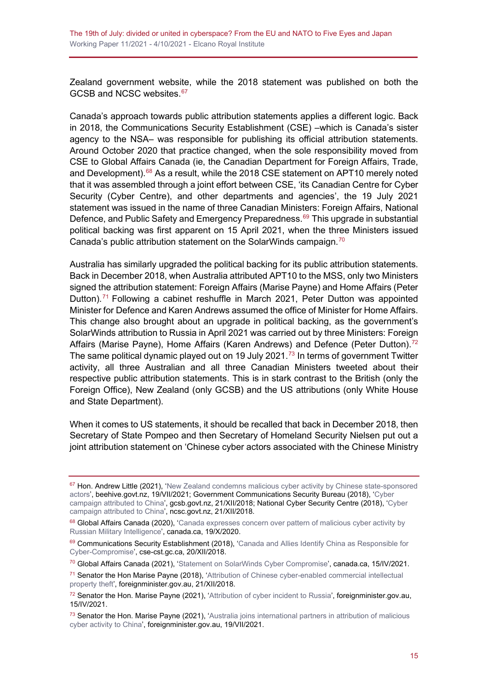Zealand government website, while the 2018 statement was published on both the GCSB and NCSC websites.<sup>[67](#page-14-0)</sup>

Canada's approach towards public attribution statements applies a different logic. Back in 2018, the Communications Security Establishment (CSE) –which is Canada's sister agency to the NSA– was responsible for publishing its official attribution statements. Around October 2020 that practice changed, when the sole responsibility moved from CSE to Global Affairs Canada (ie, the Canadian Department for Foreign Affairs, Trade, and Development).<sup>[68](#page-14-1)</sup> As a result, while the 2018 CSE statement on APT10 merely noted that it was assembled through a joint effort between CSE, 'its Canadian Centre for Cyber Security (Cyber Centre), and other departments and agencies', the 19 July 2021 statement was issued in the name of three Canadian Ministers: Foreign Affairs, National Defence, and Public Safety and Emergency Preparedness.<sup>[69](#page-14-2)</sup> This upgrade in substantial political backing was first apparent on 15 April 2021, when the three Ministers issued Canada's public attribution statement on the SolarWinds campaign.<sup>[70](#page-14-3)</sup>

Australia has similarly upgraded the political backing for its public attribution statements. Back in December 2018, when Australia attributed APT10 to the MSS, only two Ministers signed the attribution statement: Foreign Affairs (Marise Payne) and Home Affairs (Peter Dutton).<sup>[71](#page-14-4)</sup> Following a cabinet reshuffle in March 2021, Peter Dutton was appointed Minister for Defence and Karen Andrews assumed the office of Minister for Home Affairs. This change also brought about an upgrade in political backing, as the government's SolarWinds attribution to Russia in April 2021 was carried out by three Ministers: Foreign Affairs (Marise Payne), Home Affairs (Karen Andrews) and Defence (Peter Dutton).<sup>[72](#page-14-5)</sup> The same political dynamic played out on 19 July 2021.<sup>[73](#page-14-6)</sup> In terms of government Twitter activity, all three Australian and all three Canadian Ministers tweeted about their respective public attribution statements. This is in stark contrast to the British (only the Foreign Office), New Zealand (only GCSB) and the US attributions (only White House and State Department).

When it comes to US statements, it should be recalled that back in December 2018, then Secretary of State Pompeo and then Secretary of Homeland Security Nielsen put out a joint attribution statement on 'Chinese cyber actors associated with the Chinese Ministry

<span id="page-14-0"></span><sup>&</sup>lt;sup>67</sup> Hon. Andrew Little (2021), 'New Zealand condemns malicious cyber activity by Chinese state-sponsored [actors',](https://www.beehive.govt.nz/release/new-zealand-condemns-malicious-cyber-activity-chinese-state-sponsored-actors) beehive.govt.nz, 19/VII/2021; Government Communications Security Bureau (2018), ['Cyber](https://www.gcsb.govt.nz/news/cyber-campaign-attributed-to-china/)  [campaign attributed to China'](https://www.gcsb.govt.nz/news/cyber-campaign-attributed-to-china/), gcsb.govt.nz, 21/XII/2018; National Cyber Security Centre (2018), ['Cyber](https://www.ncsc.govt.nz/newsroom/cyber-campaign-attributed-to-china/)  [campaign attributed to China'](https://www.ncsc.govt.nz/newsroom/cyber-campaign-attributed-to-china/), ncsc.govt.nz, 21/XII/2018.

<span id="page-14-1"></span><sup>68</sup> Global Affairs Canada (2020), 'Canada expresses concern over pattern of malicious cyber activity by [Russian Military](https://www.canada.ca/en/global-affairs/news/2020/10/canada-expresses-concern-over-pattern-of-malicious-cyber-activity-by-russian-military-intelligence.html) Intelligence', canada.ca, 19/X/2020.

<span id="page-14-2"></span><sup>69</sup> Communications Security Establishment (2018), 'Canada and Allies Identify China as Responsible for [Cyber-Compromise'](https://cse-cst.gc.ca/en/information-and-resources/announcements/canada-and-allies-identify-china-responsible-cyber), cse-cst.gc.ca, 20/XII/2018.

<span id="page-14-3"></span><sup>70</sup> Global Affairs Canada (2021), ['Statement on SolarWinds Cyber Compromise'](https://www.canada.ca/en/global-affairs/news/2021/04/statement-on-solarwinds-cyber-compromise.html), canada.ca, 15/IV/2021.

<span id="page-14-4"></span><sup>71</sup> Senator the Hon Marise Payne (2018), ['Attribution of Chinese cyber-enabled commercial intellectual](https://web.archive.org/web/20181230142459/https:/foreignminister.gov.au/releases/Pages/2018/mp_mr_181221.aspx)  [property](https://web.archive.org/web/20181230142459/https:/foreignminister.gov.au/releases/Pages/2018/mp_mr_181221.aspx) theft', foreignminister.gov.au, 21/XII/2018.

<span id="page-14-5"></span><sup>72</sup> Senator the Hon. Marise Payne (2021), ['Attribution of cyber incident to Russia'](https://www.foreignminister.gov.au/minister/marise-payne/media-release/attribution-cyber-incident-russia), foreignminister.gov.au, 15/IV/2021.

<span id="page-14-6"></span><sup>73</sup> Senator the Hon. Marise Payne (2021), 'Australia joins international partners in attribution of malicious [cyber activity to China'](https://www.foreignminister.gov.au/minister/marise-payne/media-release/australia-joins-international-partners-attribution-malicious-cyber-activity-china), foreignminister.gov.au, 19/VII/2021.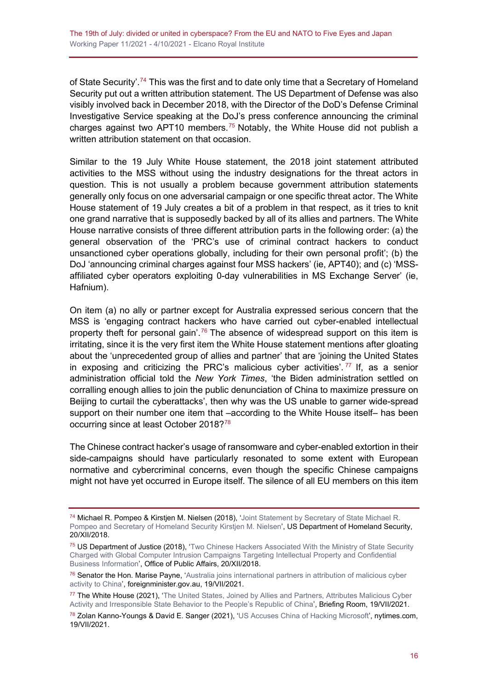of State Security'.<sup>[74](#page-15-0)</sup> This was the first and to date only time that a Secretary of Homeland Security put out a written attribution statement. The US Department of Defense was also visibly involved back in December 2018, with the Director of the DoD's Defense Criminal Investigative Service speaking at the DoJ's press conference announcing the criminal charges against two APT10 members.<sup>[75](#page-15-1)</sup> Notably, the White House did not publish a written attribution statement on that occasion.

Similar to the 19 July White House statement, the 2018 joint statement attributed activities to the MSS without using the industry designations for the threat actors in question. This is not usually a problem because government attribution statements generally only focus on one adversarial campaign or one specific threat actor. The White House statement of 19 July creates a bit of a problem in that respect, as it tries to knit one grand narrative that is supposedly backed by all of its allies and partners. The White House narrative consists of three different attribution parts in the following order: (a) the general observation of the 'PRC's use of criminal contract hackers to conduct unsanctioned cyber operations globally, including for their own personal profit'; (b) the DoJ 'announcing criminal charges against four MSS hackers' (ie, APT40); and (c) 'MSSaffiliated cyber operators exploiting 0-day vulnerabilities in MS Exchange Server' (ie, Hafnium).

On item (a) no ally or partner except for Australia expressed serious concern that the MSS is 'engaging contract hackers who have carried out cyber-enabled intellectual property theft for personal gain'.<sup>[76](#page-15-2)</sup> The absence of widespread support on this item is irritating, since it is the very first item the White House statement mentions after gloating about the 'unprecedented group of allies and partner' that are 'joining the United States in exposing and criticizing the PRC's malicious cyber activities'.  $77$  If, as a senior administration official told the *New York Times*, 'the Biden administration settled on corralling enough allies to join the public denunciation of China to maximize pressure on Beijing to curtail the cyberattacks', then why was the US unable to garner wide-spread support on their number one item that –according to the White House itself– has been occurring since at least October 2018?[78](#page-15-4)

The Chinese contract hacker's usage of ransomware and cyber-enabled extortion in their side-campaigns should have particularly resonated to some extent with European normative and cybercriminal concerns, even though the specific Chinese campaigns might not have yet occurred in Europe itself. The silence of all EU members on this item

<span id="page-15-0"></span><sup>74</sup> Michael R. Pompeo & Kirstjen M. Nielsen (2018), ['Joint Statement by Secretary of State Michael R.](https://www.dhs.gov/news/2018/12/20/joint-statement-secretary-state-michael-r-pompeo-and-secretary-homeland-security)  [Pompeo and Secretary of Homeland Security Kirstjen M. Nielsen'](https://www.dhs.gov/news/2018/12/20/joint-statement-secretary-state-michael-r-pompeo-and-secretary-homeland-security), US Department of Homeland Security, 20/XII/2018.

<span id="page-15-1"></span><sup>75</sup> US Department of Justice (2018), 'Two Chinese Hackers Associated With the Ministry of State Security [Charged with Global Computer Intrusion Campaigns Targeting Intellectual Property and Confidential](https://www.justice.gov/opa/pr/two-chinese-hackers-associated-ministry-state-security-charged-global-computer-intrusion)  [Business Information'](https://www.justice.gov/opa/pr/two-chinese-hackers-associated-ministry-state-security-charged-global-computer-intrusion), Office of Public Affairs, 20/XII/2018.

<span id="page-15-2"></span><sup>&</sup>lt;sup>76</sup> Senator the Hon. Marise Payne, 'Australia joins international partners in attribution of malicious cyber [activity to China',](https://www.foreignminister.gov.au/minister/marise-payne/media-release/australia-joins-international-partners-attribution-malicious-cyber-activity-china) foreignminister.gov.au, 19/VII/2021.

<span id="page-15-3"></span><sup>77</sup> The White House (2021), ['The United States, Joined by Allies and Partners, Attributes Malicious Cyber](https://www.whitehouse.gov/briefing-room/statements-releases/2021/07/19/the-united-states-joined-by-allies-and-partners-attributes-malicious-cyber-activity-and-irresponsible-state-behavior-to-the-peoples-republic-of-china/)  [Activity and Irresponsible State Behavior to the People's Republic of China'](https://www.whitehouse.gov/briefing-room/statements-releases/2021/07/19/the-united-states-joined-by-allies-and-partners-attributes-malicious-cyber-activity-and-irresponsible-state-behavior-to-the-peoples-republic-of-china/), Briefing Room, 19/VII/2021.

<span id="page-15-4"></span><sup>78</sup> Zolan Kanno-Youngs & David E. Sanger (2021), ['US Accuses China of Hacking Microsoft'](https://www.nytimes.com/2021/07/19/us/politics/microsoft-hacking-china-biden.html), nytimes.com, 19/VII/2021.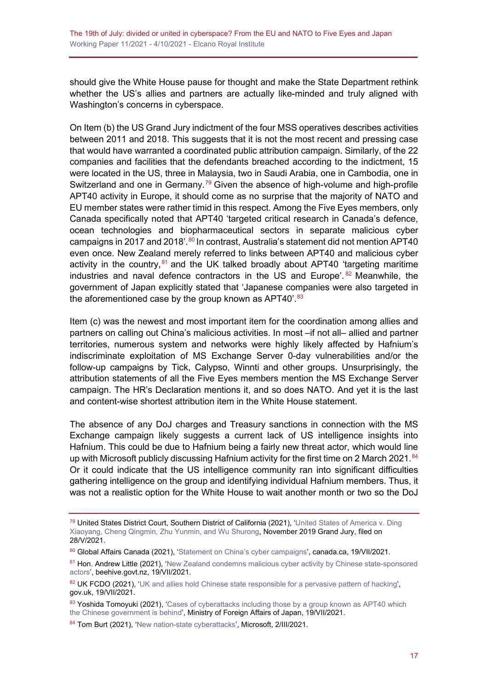should give the White House pause for thought and make the State Department rethink whether the US's allies and partners are actually like-minded and truly aligned with Washington's concerns in cyberspace.

On Item (b) the US Grand Jury indictment of the four MSS operatives describes activities between 2011 and 2018. This suggests that it is not the most recent and pressing case that would have warranted a coordinated public attribution campaign. Similarly, of the 22 companies and facilities that the defendants breached according to the indictment, 15 were located in the US, three in Malaysia, two in Saudi Arabia, one in Cambodia, one in Switzerland and one in Germany.<sup>[79](#page-16-0)</sup> Given the absence of high-volume and high-profile APT40 activity in Europe, it should come as no surprise that the majority of NATO and EU member states were rather timid in this respect. Among the Five Eyes members, only Canada specifically noted that APT40 'targeted critical research in Canada's defence, ocean technologies and biopharmaceutical sectors in separate malicious cyber campaigns in 2017 and 2018'.<sup>[80](#page-16-1)</sup> In contrast, Australia's statement did not mention APT40 even once. New Zealand merely referred to links between APT40 and malicious cyber activity in the country, $81$  and the UK talked broadly about APT40 'targeting maritime industries and naval defence contractors in the US and Europe'. [82](#page-16-3) Meanwhile, the government of Japan explicitly stated that 'Japanese companies were also targeted in the aforementioned case by the group known as APT40'.<sup>[83](#page-16-4)</sup>

Item (c) was the newest and most important item for the coordination among allies and partners on calling out China's malicious activities. In most –if not all– allied and partner territories, numerous system and networks were highly likely affected by Hafnium's indiscriminate exploitation of MS Exchange Server 0-day vulnerabilities and/or the follow-up campaigns by Tick, Calypso, Winnti and other groups. Unsurprisingly, the attribution statements of all the Five Eyes members mention the MS Exchange Server campaign. The HR's Declaration mentions it, and so does NATO. And yet it is the last and content-wise shortest attribution item in the White House statement.

The absence of any DoJ charges and Treasury sanctions in connection with the MS Exchange campaign likely suggests a current lack of US intelligence insights into Hafnium. This could be due to Hafnium being a fairly new threat actor, which would line up with Microsoft publicly discussing Hafnium activity for the first time on 2 March 2021.<sup>[84](#page-16-5)</sup> Or it could indicate that the US intelligence community ran into significant difficulties gathering intelligence on the group and identifying individual Hafnium members. Thus, it was not a realistic option for the White House to wait another month or two so the DoJ

<span id="page-16-0"></span><sup>79</sup> United States District Court, Southern District of California (2021), 'United States of America v. Ding [Xiaoyang, Cheng Qingmin, Zhu Yunmin, and Wu Shurong,](https://www.justice.gov/opa/press-release/file/1412916/download) November 2019 Grand Jury, filed on 28/V/2021.

<span id="page-16-1"></span><sup>80</sup> Global Affairs Canada (2021), ['Statement on China's cyber campaigns',](https://www.canada.ca/en/global-affairs/news/2021/07/statement-on-chinas-cyber-campaigns.html) canada.ca, 19/VII/2021.

<span id="page-16-2"></span><sup>81</sup> Hon. Andrew Little (2021), 'New Zealand condemns malicious cyber activity by Chinese state-sponsored [actors',](https://www.beehive.govt.nz/release/new-zealand-condemns-malicious-cyber-activity-chinese-state-sponsored-actors) beehive.govt.nz, 19/VII/2021.

<span id="page-16-3"></span><sup>82</sup> UK FCDO (2021), ['UK and allies hold Chinese state responsible for a pervasive pattern of hacking',](https://www.gov.uk/government/news/uk-and-allies-hold-chinese-state-responsible-for-a-pervasive-pattern-of-hacking) gov.uk, 19/VII/2021.

<span id="page-16-4"></span><sup>83</sup> Yoshida Tomoyuki (2021), 'Cases of cyberattacks including those by a group known as APT40 which [the Chinese government is behind',](https://www.mofa.go.jp/press/danwa/press6e_000312.html) Ministry of Foreign Affairs of Japan, 19/VII/2021.

<span id="page-16-5"></span><sup>84</sup> Tom Burt (2021), ['New nation-state cyberattacks',](https://blogs.microsoft.com/on-the-issues/2021/03/02/new-nation-state-cyberattacks/) Microsoft, 2/III/2021.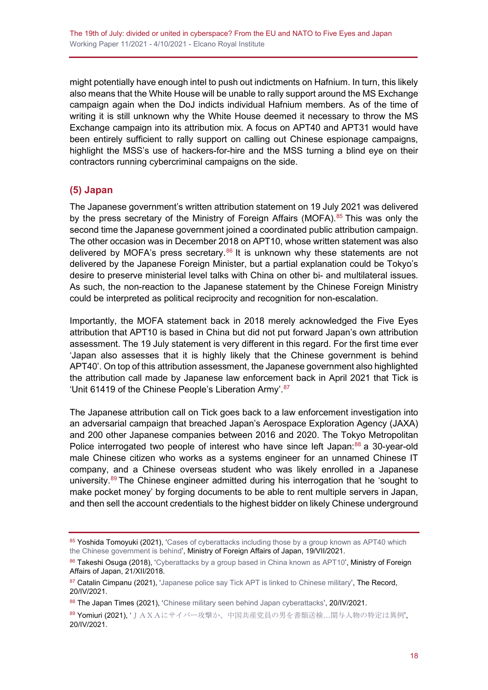might potentially have enough intel to push out indictments on Hafnium. In turn, this likely also means that the White House will be unable to rally support around the MS Exchange campaign again when the DoJ indicts individual Hafnium members. As of the time of writing it is still unknown why the White House deemed it necessary to throw the MS Exchange campaign into its attribution mix. A focus on APT40 and APT31 would have been entirely sufficient to rally support on calling out Chinese espionage campaigns, highlight the MSS's use of hackers-for-hire and the MSS turning a blind eye on their contractors running cybercriminal campaigns on the side.

#### <span id="page-17-0"></span>**(5) Japan**

The Japanese government's written attribution statement on 19 July 2021 was delivered by the press secretary of the Ministry of Foreign Affairs (MOFA).<sup>[85](#page-17-1)</sup> This was only the second time the Japanese government joined a coordinated public attribution campaign. The other occasion was in December 2018 on APT10, whose written statement was also delivered by MOFA's press secretary.<sup>[86](#page-17-2)</sup> It is unknown why these statements are not delivered by the Japanese Foreign Minister, but a partial explanation could be Tokyo's desire to preserve ministerial level talks with China on other bi- and multilateral issues. As such, the non-reaction to the Japanese statement by the Chinese Foreign Ministry could be interpreted as political reciprocity and recognition for non-escalation.

Importantly, the MOFA statement back in 2018 merely acknowledged the Five Eyes attribution that APT10 is based in China but did not put forward Japan's own attribution assessment. The 19 July statement is very different in this regard. For the first time ever 'Japan also assesses that it is highly likely that the Chinese government is behind APT40'. On top of this attribution assessment, the Japanese government also highlighted the attribution call made by Japanese law enforcement back in April 2021 that Tick is 'Unit 61419 of the Chinese People's Liberation Army'.<sup>[87](#page-17-3)</sup>

The Japanese attribution call on Tick goes back to a law enforcement investigation into an adversarial campaign that breached Japan's Aerospace Exploration Agency (JAXA) and 200 other Japanese companies between 2016 and 2020. The Tokyo Metropolitan Police interrogated two people of interest who have since left Japan:<sup>[88](#page-17-4)</sup> a 30-year-old male Chinese citizen who works as a systems engineer for an unnamed Chinese IT company, and a Chinese overseas student who was likely enrolled in a Japanese university. [89](#page-17-5) The Chinese engineer admitted during his interrogation that he 'sought to make pocket money' by forging documents to be able to rent multiple servers in Japan, and then sell the account credentials to the highest bidder on likely Chinese underground

<span id="page-17-1"></span><sup>85</sup> Yoshida Tomoyuki (2021), 'Cases of cyberattacks including those by a group known as APT40 which [the Chinese government is behind',](https://www.mofa.go.jp/press/danwa/press6e_000312.html) Ministry of Foreign Affairs of Japan, 19/VII/2021.

<span id="page-17-2"></span><sup>86</sup> Takeshi Osuga (2018), ['Cyberattacks by a group based in China known as APT10'](https://www.mofa.go.jp/press/release/press4e_002281.html), Ministry of Foreign Affairs of Japan, 21/XII/2018.

<span id="page-17-3"></span><sup>87</sup> Catalin Cimpanu (2021), ['Japanese police say Tick APT is linked to Chinese military',](https://therecord.media/japanese-police-say-tick-apt-is-linked-to-chinese-military/) The Record, 20/IV/2021.

<span id="page-17-4"></span><sup>88</sup> The Japan Times (2021), ['Chinese military seen behind Japan cyberattacks'](https://www.japantimes.co.jp/news/2021/04/20/national/chinese-military-japan-cyberattacks/), 20/IV/2021.

<span id="page-17-5"></span><sup>89</sup> Yomiuri (2021), '[JAXAにサイバー攻撃か、中国共産党員の男を書類送検](https://www.yomiuri.co.jp/national/20210420-OYT1T50136/)…関与人物の特定は異例', 20/IV/2021.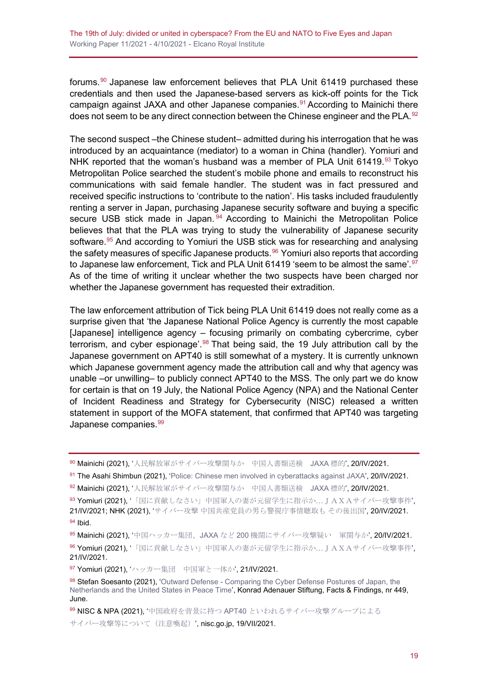forums.<sup>[90](#page-18-0)</sup> Japanese law enforcement believes that PLA Unit 61419 purchased these credentials and then used the Japanese-based servers as kick-off points for the Tick campaign against JAXA and other Japanese companies.<sup>[91](#page-18-1)</sup> According to Mainichi there does not seem to be any direct connection between the Chinese engineer and the PLA.<sup>[92](#page-18-2)</sup>

The second suspect –the Chinese student– admitted during his interrogation that he was introduced by an acquaintance (mediator) to a woman in China (handler). Yomiuri and NHK reported that the woman's husband was a member of PLA Unit 61419. $93$  Tokyo Metropolitan Police searched the student's mobile phone and emails to reconstruct his communications with said female handler. The student was in fact pressured and received specific instructions to 'contribute to the nation'. His tasks included fraudulently renting a server in Japan, purchasing Japanese security software and buying a specific secure USB stick made in Japan.<sup>[94](#page-18-4)</sup> According to Mainichi the Metropolitan Police believes that that the PLA was trying to study the vulnerability of Japanese security software. [95](#page-18-5) And according to Yomiuri the USB stick was for researching and analysing the safety measures of specific Japanese products. $96$  Yomiuri also reports that according to Japanese law enforcement, Tick and PLA Unit 61419 'seem to be almost the same'. [97](#page-18-7) As of the time of writing it unclear whether the two suspects have been charged nor whether the Japanese government has requested their extradition.

The law enforcement attribution of Tick being PLA Unit 61419 does not really come as a surprise given that 'the Japanese National Police Agency is currently the most capable [Japanese] intelligence agency – focusing primarily on combating cybercrime, cyber terrorism, and cyber espionage'.<sup>[98](#page-18-8)</sup> That being said, the 19 July attribution call by the Japanese government on APT40 is still somewhat of a mystery. It is currently unknown which Japanese government agency made the attribution call and why that agency was unable –or unwilling– to publicly connect APT40 to the MSS. The only part we do know for certain is that on 19 July, the National Police Agency (NPA) and the National Center of Incident Readiness and Strategy for Cybersecurity (NISC) released a written statement in support of the MOFA statement, that confirmed that APT40 was targeting Japanese companies.<sup>[99](#page-18-9)</sup>

<span id="page-18-0"></span><sup>90</sup> Mainichi (2021), '[人民解放軍がサイバー攻撃関与か](https://mainichi.jp/articles/20210420/k00/00m/040/086000c) 中国人書類送検 JAXA 標的', 20/IV/2021.

- <span id="page-18-1"></span>91 The Asahi Shimbun (2021), ['Police: Chinese men involved in cyberattacks against JAXA',](https://www.asahi.com/ajw/articles/14334134) 20/IV/2021.
- <span id="page-18-2"></span>92 Mainichi (2021), '[人民解放軍がサイバー攻撃関与か](https://mainichi.jp/articles/20210420/k00/00m/040/086000c) 中国人書類送検 JAXA 標的', 20/IV/2021.
- <span id="page-18-3"></span>93 Yomiuri (2021), '[「国に貢献しなさい」中国軍人の妻が元留学生に指示か](https://www.yomiuri.co.jp/national/20210421-OYT1T50180/)…JAXAサイバー攻撃事件', 21/IV/2021; NHK (2021), 'サイバー攻撃 [中国共産党員の男ら警視庁事情聴取も](https://www3.nhk.or.jp/news/html/20210420/k10012986251000.html) その後出国', 20/IV/2021. <sup>94</sup> Ibid.
- <span id="page-18-5"></span><span id="page-18-4"></span><sup>95</sup> Mainichi (2021), '中国ハッカー集団、JAXA など 200 [機関にサイバー攻撃疑い](https://web.archive.org/web/20210421162417/https:/mainichi.jp/articles/20210420/k00/00m/040/288000c) 軍関与か', 20/IV/2021.

<span id="page-18-7"></span>97 Yomiuri (2021), 'ハッカー集団 [中国軍と一体か](https://www.yomiuri.co.jp/national/20210421-OYT1T50089/)', 21/IV/2021.

<span id="page-18-9"></span>99 NISC & NPA (2021), '中国政府を背景に持つ APT40 [といわれるサイバー攻撃グループによる](https://www.nisc.go.jp/press/pdf/20210719NISC_press.pdf)

[サイバー攻撃等について\(注意喚起\)](https://www.nisc.go.jp/press/pdf/20210719NISC_press.pdf)', nisc.go.jp, 19/VII/2021.

<span id="page-18-6"></span><sup>96</sup> Yomiuri (2021), '[「国に貢献しなさい」中国軍人の妻が元留学生に指示か](https://www.yomiuri.co.jp/national/20210421-OYT1T50180/)…JAXAサイバー攻撃事件', 21/IV/2021.

<span id="page-18-8"></span><sup>98</sup> Stefan Soesanto (2021), 'Outward Defense - Comparing the Cyber Defense Postures of Japan, the [Netherlands and the United States in Peace Time',](https://www.kas.de/documents/252038/11055681/Mapping+of+cyber+doctrines.pdf/fbbcb8e1-7f57-31e3-a6f4-a0e071beafae) Konrad Adenauer Stiftung, Facts & Findings, nr 449, June.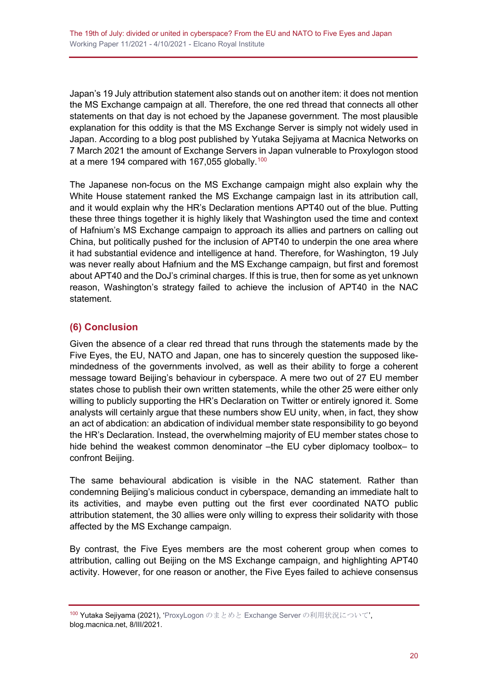Japan's 19 July attribution statement also stands out on another item: it does not mention the MS Exchange campaign at all. Therefore, the one red thread that connects all other statements on that day is not echoed by the Japanese government. The most plausible explanation for this oddity is that the MS Exchange Server is simply not widely used in Japan. According to a blog post published by Yutaka Sejiyama at Macnica Networks on 7 March 2021 the amount of Exchange Servers in Japan vulnerable to Proxylogon stood at a mere 194 compared with 167,055 globally.<sup>[100](#page-19-1)</sup>

The Japanese non-focus on the MS Exchange campaign might also explain why the White House statement ranked the MS Exchange campaign last in its attribution call, and it would explain why the HR's Declaration mentions APT40 out of the blue. Putting these three things together it is highly likely that Washington used the time and context of Hafnium's MS Exchange campaign to approach its allies and partners on calling out China, but politically pushed for the inclusion of APT40 to underpin the one area where it had substantial evidence and intelligence at hand. Therefore, for Washington, 19 July was never really about Hafnium and the MS Exchange campaign, but first and foremost about APT40 and the DoJ's criminal charges. If this is true, then for some as yet unknown reason, Washington's strategy failed to achieve the inclusion of APT40 in the NAC statement.

#### <span id="page-19-0"></span>**(6) Conclusion**

Given the absence of a clear red thread that runs through the statements made by the Five Eyes, the EU, NATO and Japan, one has to sincerely question the supposed likemindedness of the governments involved, as well as their ability to forge a coherent message toward Beijing's behaviour in cyberspace. A mere two out of 27 EU member states chose to publish their own written statements, while the other 25 were either only willing to publicly supporting the HR's Declaration on Twitter or entirely ignored it. Some analysts will certainly argue that these numbers show EU unity, when, in fact, they show an act of abdication: an abdication of individual member state responsibility to go beyond the HR's Declaration. Instead, the overwhelming majority of EU member states chose to hide behind the weakest common denominator –the EU cyber diplomacy toolbox– to confront Beijing.

The same behavioural abdication is visible in the NAC statement. Rather than condemning Beijing's malicious conduct in cyberspace, demanding an immediate halt to its activities, and maybe even putting out the first ever coordinated NATO public attribution statement, the 30 allies were only willing to express their solidarity with those affected by the MS Exchange campaign.

By contrast, the Five Eyes members are the most coherent group when comes to attribution, calling out Beijing on the MS Exchange campaign, and highlighting APT40 activity. However, for one reason or another, the Five Eyes failed to achieve consensus

<span id="page-19-1"></span><sup>100</sup> Yutaka Sejiyama (2021), 'ProxyLogon のまとめと [Exchange Server](https://blog.macnica.net/blog/2021/03/proxylogonexchange-server.html) [の利用状況について](https://blog.macnica.net/blog/2021/03/proxylogonexchange-server.html)', blog.macnica.net, 8/III/2021.